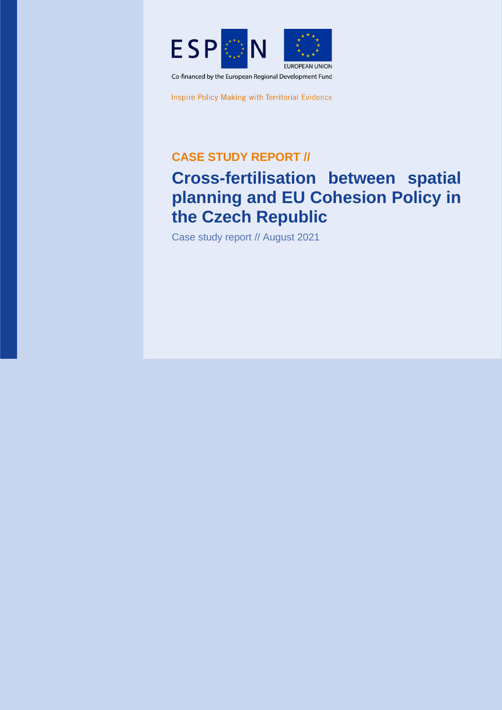

Inspire Policy Making with Territorial Evidence

**CASE STUDY REPORT //**

# **Cross-fertilisation between spatial planning and EU Cohesion Policy in the Czech Republic**

Case study report // August 2021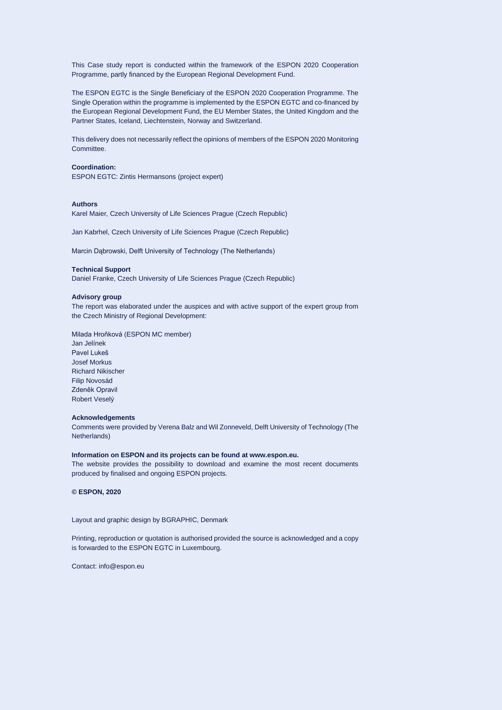This Case study report is conducted within the framework of the ESPON 2020 Cooperation Programme, partly financed by the European Regional Development Fund.

The ESPON EGTC is the Single Beneficiary of the ESPON 2020 Cooperation Programme. The Single Operation within the programme is implemented by the ESPON EGTC and co-financed by the European Regional Development Fund, the EU Member States, the United Kingdom and the Partner States, Iceland, Liechtenstein, Norway and Switzerland.

This delivery does not necessarily reflect the opinions of members of the ESPON 2020 Monitoring Committee.

#### **Coordination:**

ESPON EGTC: Zintis Hermansons (project expert)

#### **Authors**

Karel Maier, Czech University of Life Sciences Prague (Czech Republic)

Jan Kabrhel, Czech University of Life Sciences Prague (Czech Republic)

Marcin Dąbrowski, Delft University of Technology (The Netherlands)

#### **Technical Support**

Daniel Franke, Czech University of Life Sciences Prague (Czech Republic)

#### **Advisory group**

The report was elaborated under the auspices and with active support of the expert group from the Czech Ministry of Regional Development:

Milada Hroňková (ESPON MC member) Jan Jelínek Pavel Lukeš Josef Morkus Richard Nikischer Filip Novosád Zdeněk Opravil Robert Veselý

#### **Acknowledgements**

Comments were provided by Verena Balz and Wil Zonneveld, Delft University of Technology (The Netherlands)

#### **Information on ESPON and its projects can be found at www.espon.eu.**

The website provides the possibility to download and examine the most recent documents produced by finalised and ongoing ESPON projects.

**© ESPON, 2020**

Layout and graphic design by BGRAPHIC, Denmark

Printing, reproduction or quotation is authorised provided the source is acknowledged and a copy is forwarded to the ESPON EGTC in Luxembourg.

Contact: [info@espon.eu](mailto:info@espon.eu)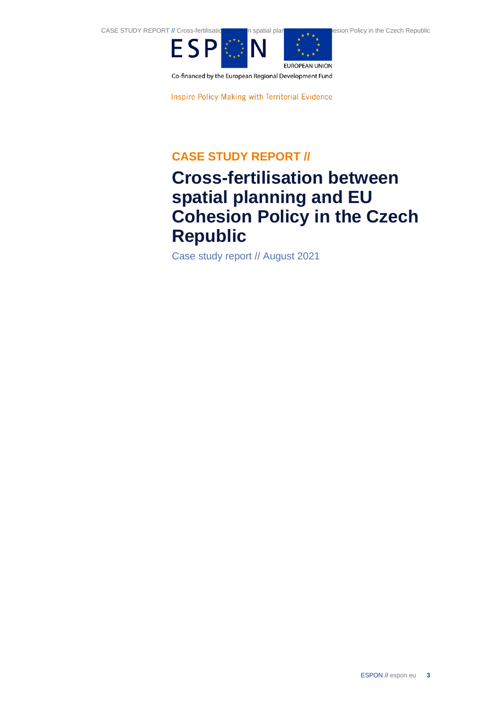

Co-financed by the European Regional Development Fund

Inspire Policy Making with Territorial Evidence

## **CASE STUDY REPORT //**

# **Cross-fertilisation between spatial planning and EU Cohesion Policy in the Czech Republic**

Case study report // August 2021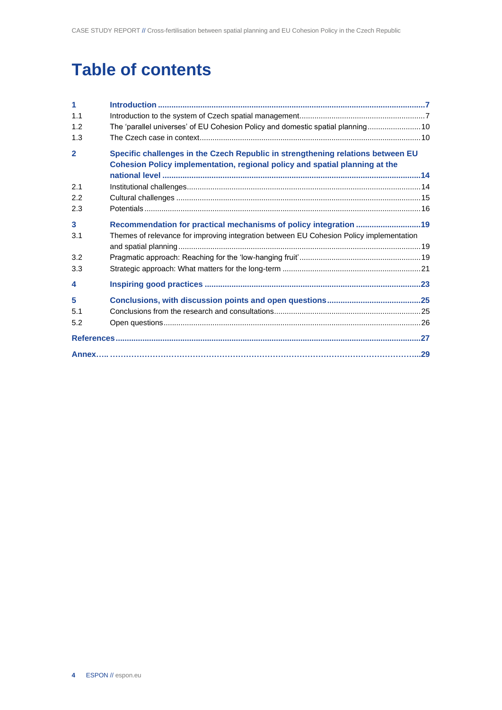# **Table of contents**

| 1                       |                                                                                                                                                                |
|-------------------------|----------------------------------------------------------------------------------------------------------------------------------------------------------------|
| 1.1                     |                                                                                                                                                                |
| 1.2                     | The 'parallel universes' of EU Cohesion Policy and domestic spatial planning 10                                                                                |
| 1.3                     |                                                                                                                                                                |
| $\overline{2}$          | Specific challenges in the Czech Republic in strengthening relations between EU<br>Cohesion Policy implementation, regional policy and spatial planning at the |
|                         |                                                                                                                                                                |
| 2.1                     |                                                                                                                                                                |
| 2.2                     |                                                                                                                                                                |
| 2.3                     |                                                                                                                                                                |
| $\overline{\mathbf{3}}$ |                                                                                                                                                                |
| 3.1                     | Themes of relevance for improving integration between EU Cohesion Policy implementation                                                                        |
|                         |                                                                                                                                                                |
| 3.2                     |                                                                                                                                                                |
| 3.3                     |                                                                                                                                                                |
| $\overline{\bf{4}}$     |                                                                                                                                                                |
| 5                       |                                                                                                                                                                |
| 5.1                     |                                                                                                                                                                |
| 5.2                     |                                                                                                                                                                |
|                         |                                                                                                                                                                |
|                         |                                                                                                                                                                |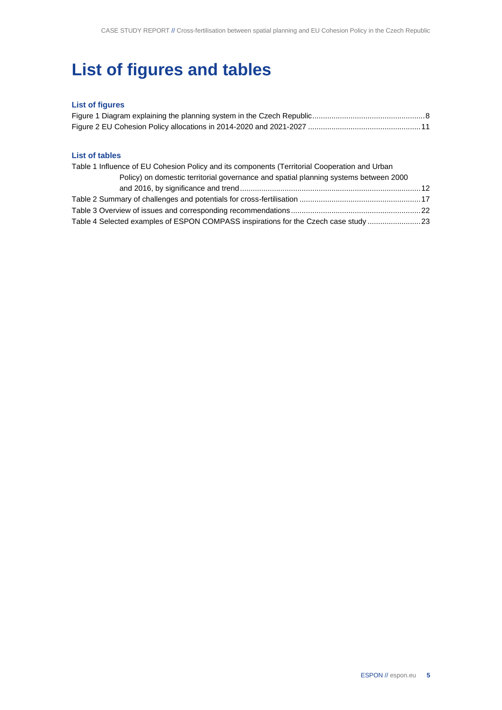# **List of figures and tables**

### **List of figures**

#### **List of tables**

| Table 1 Influence of EU Cohesion Policy and its components (Territorial Cooperation and Urban |  |
|-----------------------------------------------------------------------------------------------|--|
| Policy) on domestic territorial governance and spatial planning systems between 2000          |  |
|                                                                                               |  |
|                                                                                               |  |
|                                                                                               |  |
| Table 4 Selected examples of ESPON COMPASS inspirations for the Czech case study 23           |  |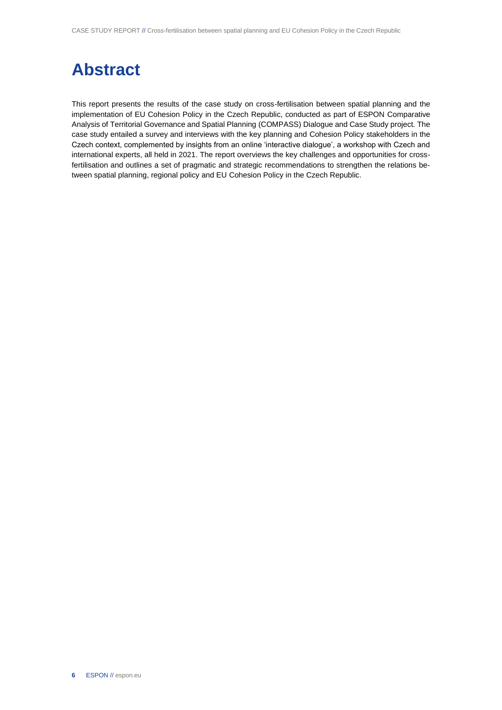# **Abstract**

This report presents the results of the case study on cross-fertilisation between spatial planning and the implementation of EU Cohesion Policy in the Czech Republic, conducted as part of ESPON Comparative Analysis of Territorial Governance and Spatial Planning (COMPASS) Dialogue and Case Study project. The case study entailed a survey and interviews with the key planning and Cohesion Policy stakeholders in the Czech context, complemented by insights from an online 'interactive dialogue', a workshop with Czech and international experts, all held in 2021. The report overviews the key challenges and opportunities for crossfertilisation and outlines a set of pragmatic and strategic recommendations to strengthen the relations between spatial planning, regional policy and EU Cohesion Policy in the Czech Republic.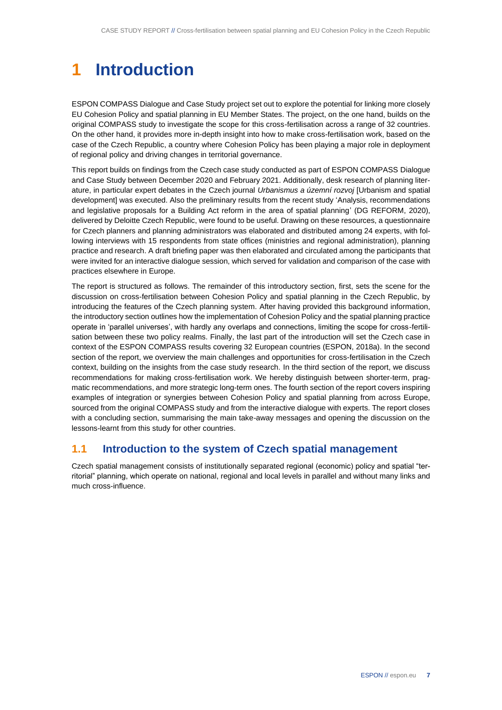# <span id="page-6-0"></span>**1 Introduction**

ESPON COMPASS Dialogue and Case Study project set out to explore the potential for linking more closely EU Cohesion Policy and spatial planning in EU Member States. The project, on the one hand, builds on the original COMPASS study to investigate the scope for this cross-fertilisation across a range of 32 countries. On the other hand, it provides more in-depth insight into how to make cross-fertilisation work, based on the case of the Czech Republic, a country where Cohesion Policy has been playing a major role in deployment of regional policy and driving changes in territorial governance.

This report builds on findings from the Czech case study conducted as part of ESPON COMPASS Dialogue and Case Study between December 2020 and February 2021. Additionally, desk research of planning literature, in particular expert debates in the Czech journal *Urbanismus a územní rozvoj* [Urbanism and spatial development] was executed. Also the preliminary results from the recent study 'Analysis, recommendations and legislative proposals for a Building Act reform in the area of spatial planning' (DG REFORM, 2020), delivered by Deloitte Czech Republic, were found to be useful. Drawing on these resources, a questionnaire for Czech planners and planning administrators was elaborated and distributed among 24 experts, with following interviews with 15 respondents from state offices (ministries and regional administration), planning practice and research. A draft briefing paper was then elaborated and circulated among the participants that were invited for an interactive dialogue session, which served for validation and comparison of the case with practices elsewhere in Europe.

The report is structured as follows. The remainder of this introductory section, first, sets the scene for the discussion on cross-fertilisation between Cohesion Policy and spatial planning in the Czech Republic, by introducing the features of the Czech planning system. After having provided this background information, the introductory section outlines how the implementation of Cohesion Policy and the spatial planning practice operate in 'parallel universes', with hardly any overlaps and connections, limiting the scope for cross-fertilisation between these two policy realms. Finally, the last part of the introduction will set the Czech case in context of the ESPON COMPASS results covering 32 European countries (ESPON, 2018a). In the second section of the report, we overview the main challenges and opportunities for cross-fertilisation in the Czech context, building on the insights from the case study research. In the third section of the report, we discuss recommendations for making cross-fertilisation work. We hereby distinguish between shorter-term, pragmatic recommendations, and more strategic long-term ones. The fourth section of the report covers inspiring examples of integration or synergies between Cohesion Policy and spatial planning from across Europe, sourced from the original COMPASS study and from the interactive dialogue with experts. The report closes with a concluding section, summarising the main take-away messages and opening the discussion on the lessons-learnt from this study for other countries.

### <span id="page-6-1"></span>**1.1 Introduction to the system of Czech spatial management**

Czech spatial management consists of institutionally separated regional (economic) policy and spatial "territorial" planning, which operate on national, regional and local levels in parallel and without many links and much cross-influence.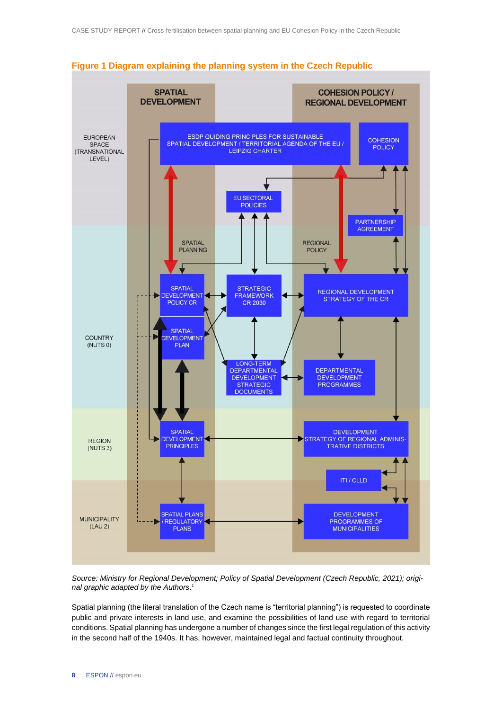

<span id="page-7-0"></span>

*Source: Ministry for Regional Development; Policy of Spatial Development (Czech Republic, 2021); original graphic adapted by the Authors*. *1*

Spatial planning (the literal translation of the Czech name is "territorial planning") is requested to coordinate public and private interests in land use, and examine the possibilities of land use with regard to territorial conditions. Spatial planning has undergone a number of changes since the first legal regulation of this activity in the second half of the 1940s. It has, however, maintained legal and factual continuity throughout.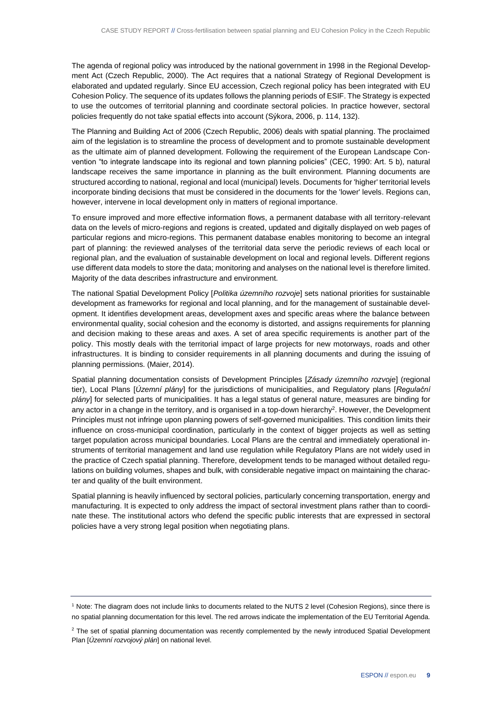The agenda of regional policy was introduced by the national government in 1998 in the Regional Development Act (Czech Republic, 2000). The Act requires that a national Strategy of Regional Development is elaborated and updated regularly. Since EU accession, Czech regional policy has been integrated with EU Cohesion Policy. The sequence of its updates follows the planning periods of ESIF. The Strategy is expected to use the outcomes of territorial planning and coordinate sectoral policies. In practice however, sectoral policies frequently do not take spatial effects into account (Sýkora, 2006, p. 114, 132).

The Planning and Building Act of 2006 (Czech Republic, 2006) deals with spatial planning. The proclaimed aim of the legislation is to streamline the process of development and to promote sustainable development as the ultimate aim of planned development. Following the requirement of the European Landscape Convention "to integrate landscape into its regional and town planning policies" (CEC, 1990: Art. 5 b), natural landscape receives the same importance in planning as the built environment. Planning documents are structured according to national, regional and local (municipal) levels. Documents for 'higher' territorial levels incorporate binding decisions that must be considered in the documents for the 'lower' levels. Regions can, however, intervene in local development only in matters of regional importance.

To ensure improved and more effective information flows, a permanent database with all territory-relevant data on the levels of micro-regions and regions is created, updated and digitally displayed on web pages of particular regions and micro-regions. This permanent database enables monitoring to become an integral part of planning: the reviewed analyses of the territorial data serve the periodic reviews of each local or regional plan, and the evaluation of sustainable development on local and regional levels. Different regions use different data models to store the data; monitoring and analyses on the national level is therefore limited. Majority of the data describes infrastructure and environment.

The national Spatial Development Policy [*Politika územního rozvoje*] sets national priorities for sustainable development as frameworks for regional and local planning, and for the management of sustainable development. It identifies development areas, development axes and specific areas where the balance between environmental quality, social cohesion and the economy is distorted, and assigns requirements for planning and decision making to these areas and axes. A set of area specific requirements is another part of the policy. This mostly deals with the territorial impact of large projects for new motorways, roads and other infrastructures. It is binding to consider requirements in all planning documents and during the issuing of planning permissions. (Maier, 2014).

Spatial planning documentation consists of Development Principles [*Zásady územního rozvoje*] (regional tier), Local Plans [*Územní plány*] for the jurisdictions of municipalities, and Regulatory plans [*Regulační plány*] for selected parts of municipalities. It has a legal status of general nature, measures are binding for any actor in a change in the territory, and is organised in a top-down hierarchy<sup>2</sup>. However, the Development Principles must not infringe upon planning powers of self-governed municipalities. This condition limits their influence on cross-municipal coordination, particularly in the context of bigger projects as well as setting target population across municipal boundaries. Local Plans are the central and immediately operational instruments of territorial management and land use regulation while Regulatory Plans are not widely used in the practice of Czech spatial planning. Therefore, development tends to be managed without detailed regulations on building volumes, shapes and bulk, with considerable negative impact on maintaining the character and quality of the built environment.

Spatial planning is heavily influenced by sectoral policies, particularly concerning transportation, energy and manufacturing. It is expected to only address the impact of sectoral investment plans rather than to coordinate these. The institutional actors who defend the specific public interests that are expressed in sectoral policies have a very strong legal position when negotiating plans.

<sup>1</sup> Note: The diagram does not include links to documents related to the NUTS 2 level (Cohesion Regions), since there is no spatial planning documentation for this level. The red arrows indicate the implementation of the EU Territorial Agenda.

<sup>&</sup>lt;sup>2</sup> The set of spatial planning documentation was recently complemented by the newly introduced Spatial Development Plan [*Územní rozvojový plán*] on national level.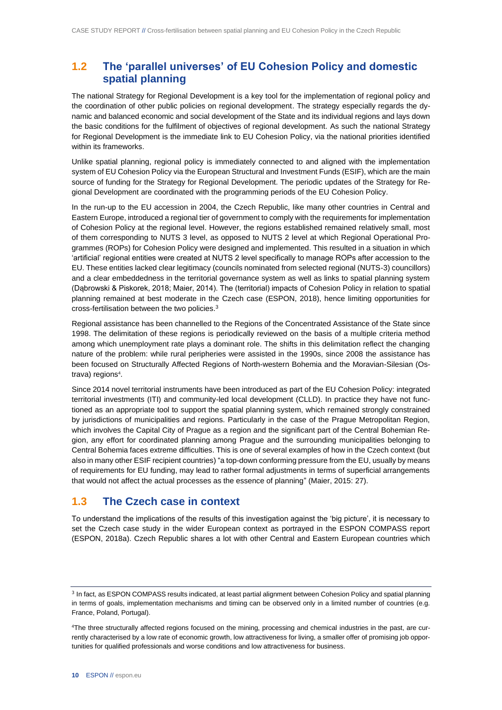## <span id="page-9-0"></span>**1.2 The 'parallel universes' of EU Cohesion Policy and domestic spatial planning**

The national Strategy for Regional Development is a key tool for the implementation of regional policy and the coordination of other public policies on regional development. The strategy especially regards the dynamic and balanced economic and social development of the State and its individual regions and lays down the basic conditions for the fulfilment of objectives of regional development. As such the national Strategy for Regional Development is the immediate link to EU Cohesion Policy, via the national priorities identified within its frameworks.

Unlike spatial planning, regional policy is immediately connected to and aligned with the implementation system of EU Cohesion Policy via the European Structural and Investment Funds (ESIF), which are the main source of funding for the Strategy for Regional Development. The periodic updates of the Strategy for Regional Development are coordinated with the programming periods of the EU Cohesion Policy.

In the run-up to the EU accession in 2004, the Czech Republic, like many other countries in Central and Eastern Europe, introduced a regional tier of government to comply with the requirements for implementation of Cohesion Policy at the regional level. However, the regions established remained relatively small, most of them corresponding to NUTS 3 level, as opposed to NUTS 2 level at which Regional Operational Programmes (ROPs) for Cohesion Policy were designed and implemented. This resulted in a situation in which 'artificial' regional entities were created at NUTS 2 level specifically to manage ROPs after accession to the EU. These entities lacked clear legitimacy (councils nominated from selected regional (NUTS-3) councillors) and a clear embeddedness in the territorial governance system as well as links to spatial planning system (Dąbrowski & Piskorek, 2018; Maier, 2014). The (territorial) impacts of Cohesion Policy in relation to spatial planning remained at best moderate in the Czech case (ESPON, 2018), hence limiting opportunities for cross-fertilisation between the two policies.<sup>3</sup>

Regional assistance has been channelled to the Regions of the Concentrated Assistance of the State since 1998. The delimitation of these regions is periodically reviewed on the basis of a multiple criteria method among which unemployment rate plays a dominant role. The shifts in this delimitation reflect the changing nature of the problem: while rural peripheries were assisted in the 1990s, since 2008 the assistance has been focused on Structurally Affected Regions of North-western Bohemia and the Moravian-Silesian (Ostrava) regions<sup>4</sup>.

Since 2014 novel territorial instruments have been introduced as part of the EU Cohesion Policy: integrated territorial investments (ITI) and community-led local development (CLLD). In practice they have not functioned as an appropriate tool to support the spatial planning system, which remained strongly constrained by jurisdictions of municipalities and regions. Particularly in the case of the Prague Metropolitan Region, which involves the Capital City of Prague as a region and the significant part of the Central Bohemian Region, any effort for coordinated planning among Prague and the surrounding municipalities belonging to Central Bohemia faces extreme difficulties. This is one of several examples of how in the Czech context (but also in many other ESIF recipient countries) "a top-down conforming pressure from the EU, usually by means of requirements for EU funding, may lead to rather formal adjustments in terms of superficial arrangements that would not affect the actual processes as the essence of planning" (Maier, 2015: 27).

## <span id="page-9-1"></span>**1.3 The Czech case in context**

To understand the implications of the results of this investigation against the 'big picture', it is necessary to set the Czech case study in the wider European context as portrayed in the ESPON COMPASS report (ESPON, 2018a). Czech Republic shares a lot with other Central and Eastern European countries which

<sup>&</sup>lt;sup>3</sup> In fact, as ESPON COMPASS results indicated, at least partial alignment between Cohesion Policy and spatial planning in terms of goals, implementation mechanisms and timing can be observed only in a limited number of countries (e.g. France, Poland, Portugal).

<sup>4</sup>The three structurally affected regions focused on the mining, processing and chemical industries in the past, are currently characterised by a low rate of economic growth, low attractiveness for living, a smaller offer of promising job opportunities for qualified professionals and worse conditions and low attractiveness for business.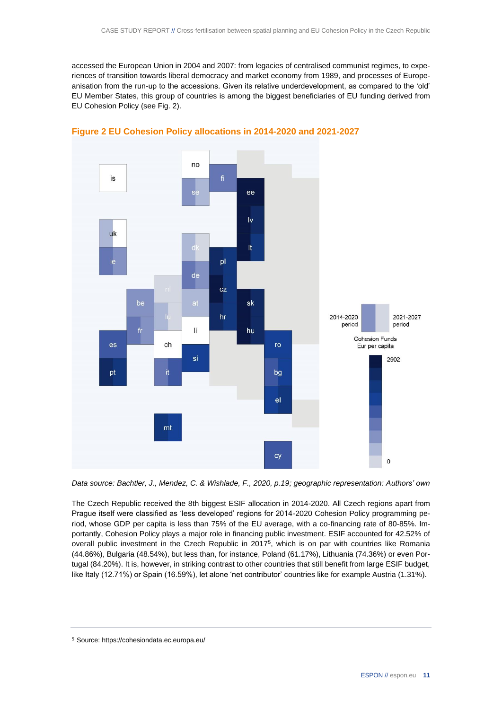accessed the European Union in 2004 and 2007: from legacies of centralised communist regimes, to experiences of transition towards liberal democracy and market economy from 1989, and processes of Europeanisation from the run-up to the accessions. Given its relative underdevelopment, as compared to the 'old' EU Member States, this group of countries is among the biggest beneficiaries of EU funding derived from EU Cohesion Policy (see Fig. 2).



<span id="page-10-0"></span>

*Data source: Bachtler, J., Mendez, C. & Wishlade, F., 2020, p.19; geographic representation: Authors' own*

The Czech Republic received the 8th biggest ESIF allocation in 2014-2020. All Czech regions apart from Prague itself were classified as 'less developed' regions for 2014-2020 Cohesion Policy programming period, whose GDP per capita is less than 75% of the EU average, with a co-financing rate of 80-85%. Importantly, Cohesion Policy plays a major role in financing public investment. ESIF accounted for 42.52% of overall public investment in the Czech Republic in 2017<sup>5</sup>, which is on par with countries like Romania (44.86%), Bulgaria (48.54%), but less than, for instance, Poland (61.17%), Lithuania (74.36%) or even Portugal (84.20%). It is, however, in striking contrast to other countries that still benefit from large ESIF budget, like Italy (12.71%) or Spain (16.59%), let alone 'net contributor' countries like for example Austria (1.31%).

<sup>5</sup> Source: https://cohesiondata.ec.europa.eu/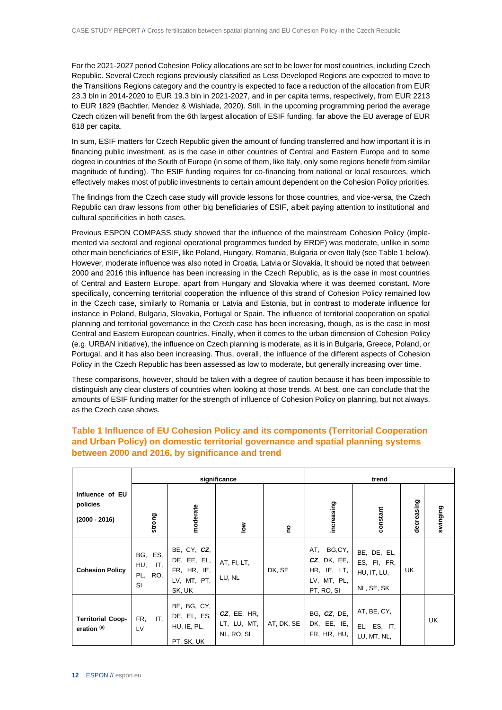For the 2021-2027 period Cohesion Policy allocations are set to be lower for most countries, including Czech Republic. Several Czech regions previously classified as Less Developed Regions are expected to move to the Transitions Regions category and the country is expected to face a reduction of the allocation from EUR 23.3 bln in 2014-2020 to EUR 19.3 bln in 2021-2027, and in per capita terms, respectively, from EUR 2213 to EUR 1829 (Bachtler, Mendez & Wishlade, 2020). Still, in the upcoming programming period the average Czech citizen will benefit from the 6th largest allocation of ESIF funding, far above the EU average of EUR 818 per capita.

In sum, ESIF matters for Czech Republic given the amount of funding transferred and how important it is in financing public investment, as is the case in other countries of Central and Eastern Europe and to some degree in countries of the South of Europe (in some of them, like Italy, only some regions benefit from similar magnitude of funding). The ESIF funding requires for co-financing from national or local resources, which effectively makes most of public investments to certain amount dependent on the Cohesion Policy priorities.

The findings from the Czech case study will provide lessons for those countries, and vice-versa, the Czech Republic can draw lessons from other big beneficiaries of ESIF, albeit paying attention to institutional and cultural specificities in both cases.

Previous ESPON COMPASS study showed that the influence of the mainstream Cohesion Policy (implemented via sectoral and regional operational programmes funded by ERDF) was moderate, unlike in some other main beneficiaries of ESIF, like Poland, Hungary, Romania, Bulgaria or even Italy (see Table 1 below). However, moderate influence was also noted in Croatia, Latvia or Slovakia. It should be noted that between 2000 and 2016 this influence has been increasing in the Czech Republic, as is the case in most countries of Central and Eastern Europe, apart from Hungary and Slovakia where it was deemed constant. More specifically, concerning territorial cooperation the influence of this strand of Cohesion Policy remained low in the Czech case, similarly to Romania or Latvia and Estonia, but in contrast to moderate influence for instance in Poland, Bulgaria, Slovakia, Portugal or Spain. The influence of territorial cooperation on spatial planning and territorial governance in the Czech case has been increasing, though, as is the case in most Central and Eastern European countries. Finally, when it comes to the urban dimension of Cohesion Policy (e.g. URBAN initiative), the influence on Czech planning is moderate, as it is in Bulgaria, Greece, Poland, or Portugal, and it has also been increasing. Thus, overall, the influence of the different aspects of Cohesion Policy in the Czech Republic has been assessed as low to moderate, but generally increasing over time.

These comparisons, however, should be taken with a degree of caution because it has been impossible to distinguish any clear clusters of countries when looking at those trends. At best, one can conclude that the amounts of ESIF funding matter for the strength of influence of Cohesion Policy on planning, but not always, as the Czech case shows.

|                                                    | significance                              |                                                                    |                                             |                           | trend                                                                          |                                                         |            |          |
|----------------------------------------------------|-------------------------------------------|--------------------------------------------------------------------|---------------------------------------------|---------------------------|--------------------------------------------------------------------------------|---------------------------------------------------------|------------|----------|
| Influence of EU<br>policies<br>$(2000 - 2016)$     | strong                                    | moderate                                                           | $\frac{8}{9}$                               | $\mathsf{P}^{\mathsf{O}}$ | increasing                                                                     | constant                                                | decreasing | swinging |
| <b>Cohesion Policy</b>                             | BG, ES,<br>HU,<br>IT,<br>RO.<br>PL,<br>SI | BE, CY, CZ,<br>DE, EE, EL,<br>FR, HR, IE,<br>LV, MT, PT,<br>SK, UK | AT, FI, LT,<br>LU, NL                       | DK, SE                    | AT, BG,CY,<br>$CZ$ , $DK$ , $EE$ ,<br>HR, IE, LT,<br>LV, MT, PL,<br>PT, RO, SI | BE, DE, EL,<br>ES, FI, FR,<br>HU, IT, LU,<br>NL, SE, SK | UK         |          |
| <b>Territorial Coop-</b><br>eration <sup>(a)</sup> | IT.<br>FR.<br>LV                          | BE, BG, CY,<br>DE, EL, ES,<br>HU, IE, PL,<br>PT, SK, UK            | $CZ$ , EE, HR,<br>LT, LU, MT,<br>NL, RO, SI | AT, DK, SE                | BG, CZ, DE,<br>DK, EE, IE,<br>FR, HR, HU,                                      | AT, BE, CY,<br>EL, ES, IT,<br>LU, MT, NL,               |            | UK       |

#### <span id="page-11-0"></span>**Table 1 Influence of EU Cohesion Policy and its components (Territorial Cooperation and Urban Policy) on domestic territorial governance and spatial planning systems between 2000 and 2016, by significance and trend**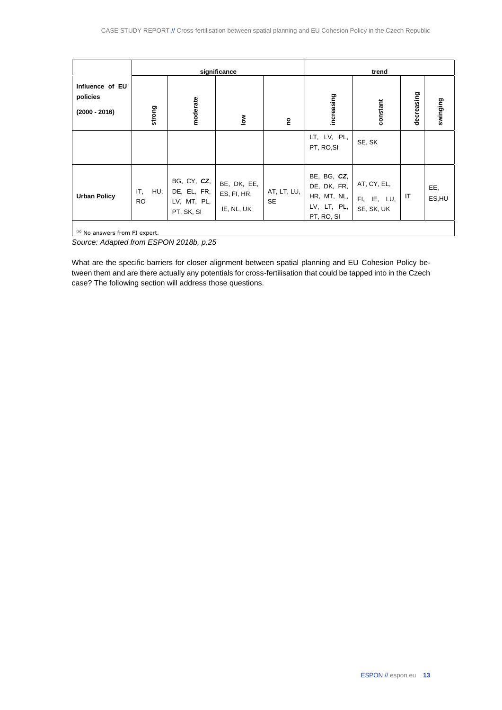|                                                | significance            |                                                         |                                          |                          | trend                                                                  |                                          |            |              |
|------------------------------------------------|-------------------------|---------------------------------------------------------|------------------------------------------|--------------------------|------------------------------------------------------------------------|------------------------------------------|------------|--------------|
| Influence of EU<br>policies<br>$(2000 - 2016)$ | strong                  | moderate                                                | $\frac{8}{10}$                           | ဥ                        | increasing                                                             | constant                                 | decreasing | swinging     |
|                                                |                         |                                                         |                                          |                          | LT, LV, PL,<br>PT, RO, SI                                              | SE, SK                                   |            |              |
| <b>Urban Policy</b>                            | IT,<br>HU,<br><b>RO</b> | BG, CY, CZ,<br>DE, EL, FR,<br>LV, MT, PL,<br>PT, SK, SI | BE, DK, EE,<br>ES, FI, HR,<br>IE, NL, UK | AT, LT, LU,<br><b>SE</b> | BE, BG, CZ,<br>DE, DK, FR,<br>HR, MT, NL,<br>LV, LT, PL,<br>PT, RO, SI | AT, CY, EL,<br>FI, IE, LU,<br>SE, SK, UK | IT         | EE,<br>ES,HU |
| <sup>(a)</sup> No answers from FI expert.      |                         |                                                         |                                          |                          |                                                                        |                                          |            |              |

*Source: Adapted from ESPON 2018b, p.25*

What are the specific barriers for closer alignment between spatial planning and EU Cohesion Policy between them and are there actually any potentials for cross-fertilisation that could be tapped into in the Czech case? The following section will address those questions.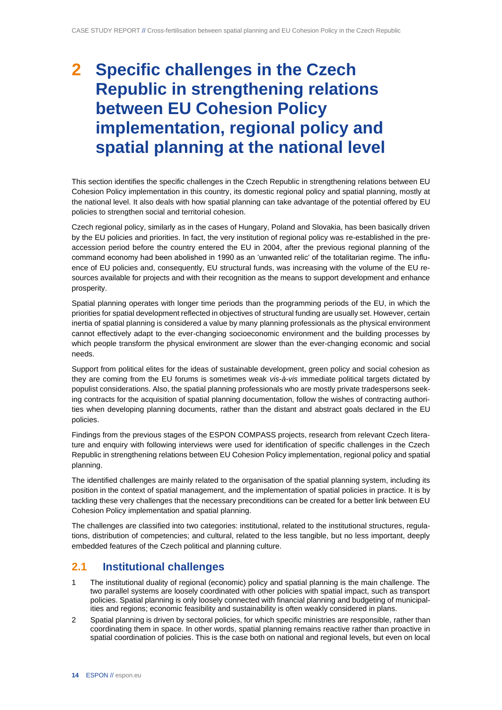# <span id="page-13-0"></span>**2 Specific challenges in the Czech Republic in strengthening relations between EU Cohesion Policy implementation, regional policy and spatial planning at the national level**

This section identifies the specific challenges in the Czech Republic in strengthening relations between EU Cohesion Policy implementation in this country, its domestic regional policy and spatial planning, mostly at the national level. It also deals with how spatial planning can take advantage of the potential offered by EU policies to strengthen social and territorial cohesion.

Czech regional policy, similarly as in the cases of Hungary, Poland and Slovakia, has been basically driven by the EU policies and priorities. In fact, the very institution of regional policy was re-established in the preaccession period before the country entered the EU in 2004, after the previous regional planning of the command economy had been abolished in 1990 as an 'unwanted relic' of the totalitarian regime. The influence of EU policies and, consequently, EU structural funds, was increasing with the volume of the EU resources available for projects and with their recognition as the means to support development and enhance prosperity.

Spatial planning operates with longer time periods than the programming periods of the EU, in which the priorities for spatial development reflected in objectives of structural funding are usually set. However, certain inertia of spatial planning is considered a value by many planning professionals as the physical environment cannot effectively adapt to the ever-changing socioeconomic environment and the building processes by which people transform the physical environment are slower than the ever-changing economic and social needs.

Support from political elites for the ideas of sustainable development, green policy and social cohesion as they are coming from the EU forums is sometimes weak *vis-à-vis* immediate political targets dictated by populist considerations. Also, the spatial planning professionals who are mostly private tradespersons seeking contracts for the acquisition of spatial planning documentation, follow the wishes of contracting authorities when developing planning documents, rather than the distant and abstract goals declared in the EU policies.

Findings from the previous stages of the ESPON COMPASS projects, research from relevant Czech literature and enquiry with following interviews were used for identification of specific challenges in the Czech Republic in strengthening relations between EU Cohesion Policy implementation, regional policy and spatial planning.

The identified challenges are mainly related to the organisation of the spatial planning system, including its position in the context of spatial management, and the implementation of spatial policies in practice. It is by tackling these very challenges that the necessary preconditions can be created for a better link between EU Cohesion Policy implementation and spatial planning.

The challenges are classified into two categories: institutional, related to the institutional structures, regulations, distribution of competencies; and cultural, related to the less tangible, but no less important, deeply embedded features of the Czech political and planning culture.

## <span id="page-13-1"></span>**2.1 Institutional challenges**

- 1 The institutional duality of regional (economic) policy and spatial planning is the main challenge. The two parallel systems are loosely coordinated with other policies with spatial impact, such as transport policies. Spatial planning is only loosely connected with financial planning and budgeting of municipalities and regions; economic feasibility and sustainability is often weakly considered in plans.
- 2 Spatial planning is driven by sectoral policies, for which specific ministries are responsible, rather than coordinating them in space. In other words, spatial planning remains reactive rather than proactive in spatial coordination of policies. This is the case both on national and regional levels, but even on local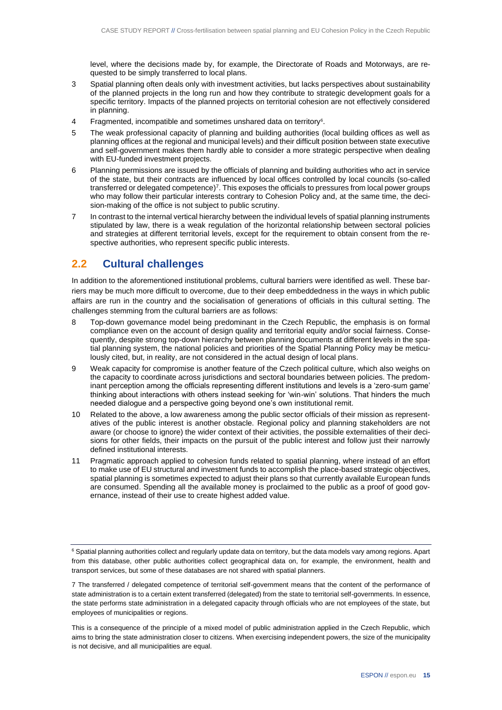level, where the decisions made by, for example, the Directorate of Roads and Motorways, are requested to be simply transferred to local plans.

- 3 Spatial planning often deals only with investment activities, but lacks perspectives about sustainability of the planned projects in the long run and how they contribute to strategic development goals for a specific territory. Impacts of the planned projects on territorial cohesion are not effectively considered in planning.
- 4 Fragmented, incompatible and sometimes unshared data on territory<sup>6</sup>.
- 5 The weak professional capacity of planning and building authorities (local building offices as well as planning offices at the regional and municipal levels) and their difficult position between state executive and self-government makes them hardly able to consider a more strategic perspective when dealing with EU-funded investment projects.
- 6 Planning permissions are issued by the officials of planning and building authorities who act in service of the state, but their contracts are influenced by local offices controlled by local councils (so-called transferred or delegated competence)<sup>7</sup>. This exposes the officials to pressures from local power groups who may follow their particular interests contrary to Cohesion Policy and, at the same time, the decision-making of the office is not subject to public scrutiny.
- 7 In contrast to the internal vertical hierarchy between the individual levels of spatial planning instruments stipulated by law, there is a weak regulation of the horizontal relationship between sectoral policies and strategies at different territorial levels, except for the requirement to obtain consent from the respective authorities, who represent specific public interests.

### <span id="page-14-0"></span>**2.2 Cultural challenges**

In addition to the aforementioned institutional problems, cultural barriers were identified as well. These barriers may be much more difficult to overcome, due to their deep embeddedness in the ways in which public affairs are run in the country and the socialisation of generations of officials in this cultural setting. The challenges stemming from the cultural barriers are as follows:

- 8 Top-down governance model being predominant in the Czech Republic, the emphasis is on formal compliance even on the account of design quality and territorial equity and/or social fairness. Consequently, despite strong top-down hierarchy between planning documents at different levels in the spatial planning system, the national policies and priorities of the Spatial Planning Policy may be meticulously cited, but, in reality, are not considered in the actual design of local plans.
- 9 Weak capacity for compromise is another feature of the Czech political culture, which also weighs on the capacity to coordinate across jurisdictions and sectoral boundaries between policies. The predominant perception among the officials representing different institutions and levels is a 'zero-sum game' thinking about interactions with others instead seeking for 'win-win' solutions. That hinders the much needed dialogue and a perspective going beyond one's own institutional remit.
- 10 Related to the above, a low awareness among the public sector officials of their mission as representatives of the public interest is another obstacle. Regional policy and planning stakeholders are not aware (or choose to ignore) the wider context of their activities, the possible externalities of their decisions for other fields, their impacts on the pursuit of the public interest and follow just their narrowly defined institutional interests.
- 11 Pragmatic approach applied to cohesion funds related to spatial planning, where instead of an effort to make use of EU structural and investment funds to accomplish the place-based strategic objectives, spatial planning is sometimes expected to adjust their plans so that currently available European funds are consumed. Spending all the available money is proclaimed to the public as a proof of good governance, instead of their use to create highest added value.

<sup>&</sup>lt;sup>6</sup> Spatial planning authorities collect and regularly update data on territory, but the data models vary among regions. Apart from this database, other public authorities collect geographical data on, for example, the environment, health and transport services, but some of these databases are not shared with spatial planners.

<sup>7</sup> The transferred / delegated competence of territorial self-government means that the content of the performance of state administration is to a certain extent transferred (delegated) from the state to territorial self-governments. In essence, the state performs state administration in a delegated capacity through officials who are not employees of the state, but employees of municipalities or regions.

This is a consequence of the principle of a mixed model of public administration applied in the Czech Republic, which aims to bring the state administration closer to citizens. When exercising independent powers, the size of the municipality is not decisive, and all municipalities are equal.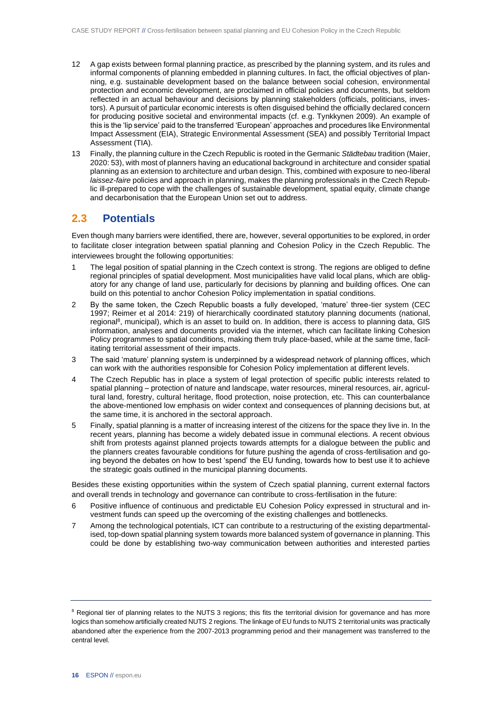- 12 A gap exists between formal planning practice, as prescribed by the planning system, and its rules and informal components of planning embedded in planning cultures. In fact, the official objectives of planning, e.g. sustainable development based on the balance between social cohesion, environmental protection and economic development, are proclaimed in official policies and documents, but seldom reflected in an actual behaviour and decisions by planning stakeholders (officials, politicians, investors). A pursuit of particular economic interests is often disguised behind the officially declared concern for producing positive societal and environmental impacts (cf. e.g. Tynkkynen 2009). An example of this is the 'lip service' paid to the transferred 'European' approaches and procedures like Environmental Impact Assessment (EIA), Strategic Environmental Assessment (SEA) and possibly Territorial Impact Assessment (TIA).
- 13 Finally, the planning culture in the Czech Republic is rooted in the Germanic *Städtebau* tradition (Maier, 2020: 53), with most of planners having an educational background in architecture and consider spatial planning as an extension to architecture and urban design. This, combined with exposure to neo-liberal *laissez-faire* policies and approach in planning, makes the planning professionals in the Czech Republic ill-prepared to cope with the challenges of sustainable development, spatial equity, climate change and decarbonisation that the European Union set out to address.

### <span id="page-15-0"></span>**2.3 Potentials**

Even though many barriers were identified, there are, however, several opportunities to be explored, in order to facilitate closer integration between spatial planning and Cohesion Policy in the Czech Republic. The interviewees brought the following opportunities:

- 1 The legal position of spatial planning in the Czech context is strong. The regions are obliged to define regional principles of spatial development. Most municipalities have valid local plans, which are obligatory for any change of land use, particularly for decisions by planning and building offices. One can build on this potential to anchor Cohesion Policy implementation in spatial conditions.
- 2 By the same token, the Czech Republic boasts a fully developed, 'mature' three-tier system (CEC 1997; Reimer et al 2014: 219) of hierarchically coordinated statutory planning documents (national, regional<sup>8</sup>, municipal), which is an asset to build on. In addition, there is access to planning data, GIS information, analyses and documents provided via the internet, which can facilitate linking Cohesion Policy programmes to spatial conditions, making them truly place-based, while at the same time, facilitating territorial assessment of their impacts.
- 3 The said 'mature' planning system is underpinned by a widespread network of planning offices, which can work with the authorities responsible for Cohesion Policy implementation at different levels.
- 4 The Czech Republic has in place a system of legal protection of specific public interests related to spatial planning – protection of nature and landscape, water resources, mineral resources, air, agricultural land, forestry, cultural heritage, flood protection, noise protection, etc. This can counterbalance the above-mentioned low emphasis on wider context and consequences of planning decisions but, at the same time, it is anchored in the sectoral approach.
- 5 Finally, spatial planning is a matter of increasing interest of the citizens for the space they live in. In the recent years, planning has become a widely debated issue in communal elections. A recent obvious shift from protests against planned projects towards attempts for a dialogue between the public and the planners creates favourable conditions for future pushing the agenda of cross-fertilisation and going beyond the debates on how to best 'spend' the EU funding, towards how to best use it to achieve the strategic goals outlined in the municipal planning documents.

Besides these existing opportunities within the system of Czech spatial planning, current external factors and overall trends in technology and governance can contribute to cross-fertilisation in the future:

- 6 Positive influence of continuous and predictable EU Cohesion Policy expressed in structural and investment funds can speed up the overcoming of the existing challenges and bottlenecks.
- 7 Among the technological potentials, ICT can contribute to a restructuring of the existing departmentalised, top-down spatial planning system towards more balanced system of governance in planning. This could be done by establishing two-way communication between authorities and interested parties

<sup>&</sup>lt;sup>8</sup> Regional tier of planning relates to the NUTS 3 regions; this fits the territorial division for governance and has more logics than somehow artificially created NUTS 2 regions. The linkage of EU funds to NUTS 2 territorial units was practically abandoned after the experience from the 2007-2013 programming period and their management was transferred to the central level.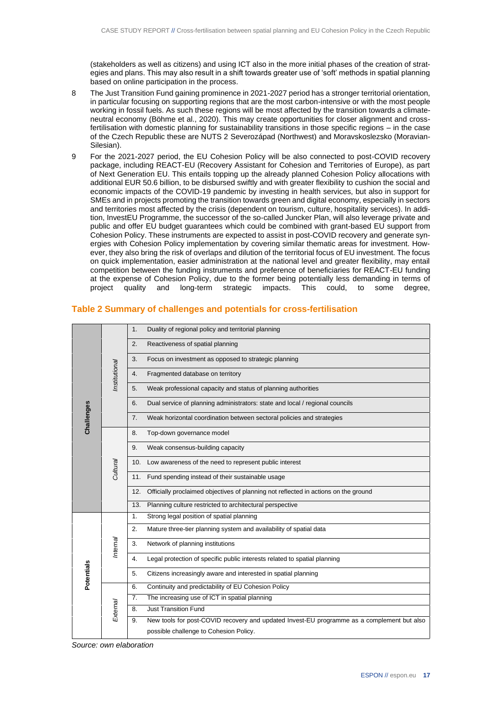(stakeholders as well as citizens) and using ICT also in the more initial phases of the creation of strategies and plans. This may also result in a shift towards greater use of 'soft' methods in spatial planning based on online participation in the process.

- 8 The Just Transition Fund gaining prominence in 2021-2027 period has a stronger territorial orientation, in particular focusing on supporting regions that are the most carbon-intensive or with the most people working in fossil fuels. As such these regions will be most affected by the transition towards a climateneutral economy (Böhme et al., 2020). This may create opportunities for closer alignment and crossfertilisation with domestic planning for sustainability transitions in those specific regions – in the case of the Czech Republic these are NUTS 2 Severozápad (Northwest) and Moravskoslezsko (Moravian-Silesian).
- 9 For the 2021-2027 period, the EU Cohesion Policy will be also connected to post-COVID recovery package, including REACT-EU (Recovery Assistant for Cohesion and Territories of Europe), as part of Next Generation EU. This entails topping up the already planned Cohesion Policy allocations with additional EUR 50.6 billion, to be disbursed swiftly and with greater flexibility to cushion the social and economic impacts of the COVID-19 pandemic by investing in health services, but also in support for SMEs and in projects promoting the transition towards green and digital economy, especially in sectors and territories most affected by the crisis (dependent on tourism, culture, hospitality services). In addition, InvestEU Programme, the successor of the so-called Juncker Plan, will also leverage private and public and offer EU budget guarantees which could be combined with grant-based EU support from Cohesion Policy. These instruments are expected to assist in post-COVID recovery and generate synergies with Cohesion Policy implementation by covering similar thematic areas for investment. However, they also bring the risk of overlaps and dilution of the territorial focus of EU investment. The focus on quick implementation, easier administration at the national level and greater flexibility, may entail competition between the funding instruments and preference of beneficiaries for REACT-EU funding at the expense of Cohesion Policy, due to the former being potentially less demanding in terms of project quality and long-term strategic impacts. This could, to some degree,

|            | Institutional | Duality of regional policy and territorial planning<br>1.                                        |
|------------|---------------|--------------------------------------------------------------------------------------------------|
|            |               | 2.<br>Reactiveness of spatial planning                                                           |
|            |               | 3.<br>Focus on investment as opposed to strategic planning                                       |
|            |               | Fragmented database on territory<br>4.                                                           |
|            |               | Weak professional capacity and status of planning authorities<br>5.                              |
|            |               | Dual service of planning administrators: state and local / regional councils<br>6.               |
| Challenges |               | 7.<br>Weak horizontal coordination between sectoral policies and strategies                      |
|            |               | Top-down governance model<br>8.                                                                  |
|            |               | Weak consensus-building capacity<br>9.                                                           |
|            | Cultural      | 10. Low awareness of the need to represent public interest                                       |
|            |               | Fund spending instead of their sustainable usage<br>11.                                          |
|            |               | Officially proclaimed objectives of planning not reflected in actions on the ground<br>12.       |
|            |               | Planning culture restricted to architectural perspective<br>13.                                  |
|            | hternal       | Strong legal position of spatial planning<br>1 <sub>1</sub>                                      |
|            |               | 2.<br>Mature three-tier planning system and availability of spatial data                         |
|            |               | Network of planning institutions<br>3.                                                           |
| Potentials |               | Legal protection of specific public interests related to spatial planning<br>4.                  |
|            |               | Citizens increasingly aware and interested in spatial planning<br>5.                             |
|            | External      | Continuity and predictability of EU Cohesion Policy<br>6.                                        |
|            |               | The increasing use of ICT in spatial planning<br>7.                                              |
|            |               | <b>Just Transition Fund</b><br>8.                                                                |
|            |               | New tools for post-COVID recovery and updated Invest-EU programme as a complement but also<br>9. |
|            |               | possible challenge to Cohesion Policy.                                                           |

#### <span id="page-16-0"></span>**Table 2 Summary of challenges and potentials for cross-fertilisation**

*Source: own elaboration*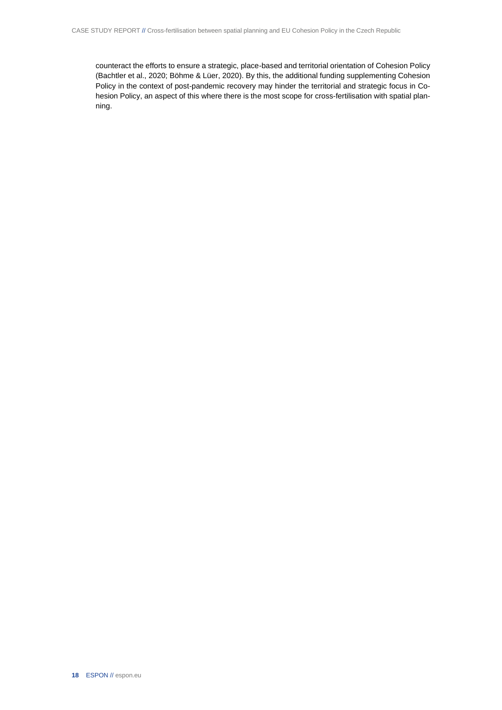counteract the efforts to ensure a strategic, place-based and territorial orientation of Cohesion Policy (Bachtler et al., 2020; Böhme & Lüer, 2020). By this, the additional funding supplementing Cohesion Policy in the context of post-pandemic recovery may hinder the territorial and strategic focus in Cohesion Policy, an aspect of this where there is the most scope for cross-fertilisation with spatial planning.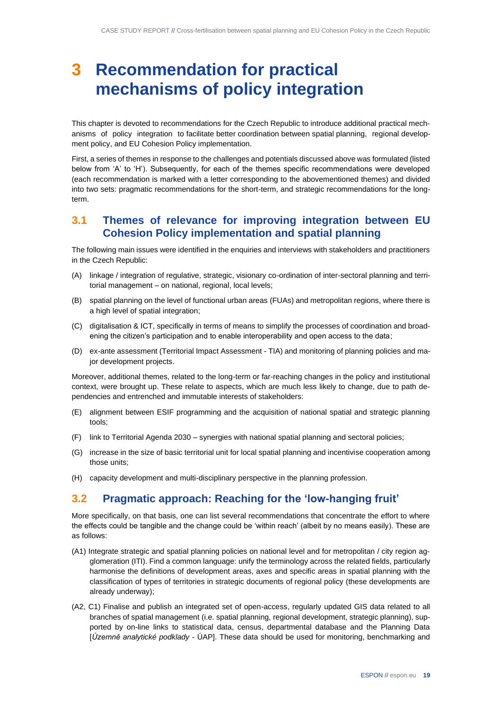## <span id="page-18-0"></span>**3 Recommendation for practical mechanisms of policy integration**

This chapter is devoted to recommendations for the Czech Republic to introduce additional practical mechanisms of policy integration to facilitate better coordination between spatial planning, regional development policy, and EU Cohesion Policy implementation.

First, a series of themes in response to the challenges and potentials discussed above was formulated (listed below from 'A' to 'H'). Subsequently, for each of the themes specific recommendations were developed (each recommendation is marked with a letter corresponding to the abovementioned themes) and divided into two sets: pragmatic recommendations for the short-term, and strategic recommendations for the longterm.

### <span id="page-18-1"></span>**3.1 Themes of relevance for improving integration between EU Cohesion Policy implementation and spatial planning**

The following main issues were identified in the enquiries and interviews with stakeholders and practitioners in the Czech Republic:

- (A) linkage / integration of regulative, strategic, visionary co-ordination of inter-sectoral planning and territorial management – on national, regional, local levels;
- (B) spatial planning on the level of functional urban areas (FUAs) and metropolitan regions, where there is a high level of spatial integration;
- (C) digitalisation & ICT, specifically in terms of means to simplify the processes of coordination and broadening the citizen's participation and to enable interoperability and open access to the data;
- (D) ex-ante assessment (Territorial Impact Assessment TIA) and monitoring of planning policies and major development projects.

Moreover, additional themes, related to the long-term or far-reaching changes in the policy and institutional context, were brought up. These relate to aspects, which are much less likely to change, due to path dependencies and entrenched and immutable interests of stakeholders:

- (E) alignment between ESIF programming and the acquisition of national spatial and strategic planning tools;
- (F) link to Territorial Agenda 2030 synergies with national spatial planning and sectoral policies;
- (G) increase in the size of basic territorial unit for local spatial planning and incentivise cooperation among those units;
- <span id="page-18-2"></span>(H) capacity development and multi-disciplinary perspective in the planning profession.

### **3.2 Pragmatic approach: Reaching for the 'low-hanging fruit'**

More specifically, on that basis, one can list several recommendations that concentrate the effort to where the effects could be tangible and the change could be 'within reach' (albeit by no means easily). These are as follows:

- (A1) Integrate strategic and spatial planning policies on national level and for metropolitan / city region agglomeration (ITI). Find a common language: unify the terminology across the related fields, particularly harmonise the definitions of development areas, axes and specific areas in spatial planning with the classification of types of territories in strategic documents of regional policy (these developments are already underway);
- (A2, C1) Finalise and publish an integrated set of open-access, regularly updated GIS data related to all branches of spatial management (i.e. spatial planning, regional development, strategic planning), supported by on-line links to statistical data, census, departmental database and the Planning Data [*Územně analytické podklady* - ÚAP]. These data should be used for monitoring, benchmarking and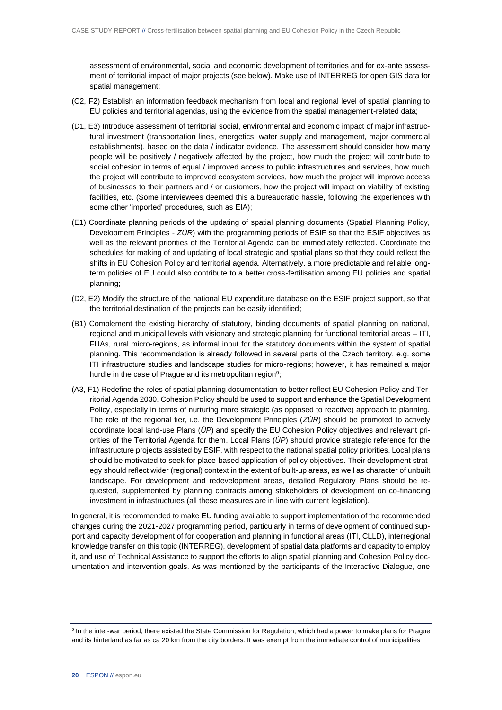assessment of environmental, social and economic development of territories and for ex-ante assessment of territorial impact of major projects (see below). Make use of INTERREG for open GIS data for spatial management;

- (C2, F2) Establish an information feedback mechanism from local and regional level of spatial planning to EU policies and territorial agendas, using the evidence from the spatial management-related data;
- (D1, E3) Introduce assessment of territorial social, environmental and economic impact of major infrastructural investment (transportation lines, energetics, water supply and management, major commercial establishments), based on the data / indicator evidence. The assessment should consider how many people will be positively / negatively affected by the project, how much the project will contribute to social cohesion in terms of equal / improved access to public infrastructures and services, how much the project will contribute to improved ecosystem services, how much the project will improve access of businesses to their partners and / or customers, how the project will impact on viability of existing facilities, etc. (Some interviewees deemed this a bureaucratic hassle, following the experiences with some other 'imported' procedures, such as EIA);
- (E1) Coordinate planning periods of the updating of spatial planning documents (Spatial Planning Policy, Development Principles - *ZÚR*) with the programming periods of ESIF so that the ESIF objectives as well as the relevant priorities of the Territorial Agenda can be immediately reflected. Coordinate the schedules for making of and updating of local strategic and spatial plans so that they could reflect the shifts in EU Cohesion Policy and territorial agenda. Alternatively, a more predictable and reliable longterm policies of EU could also contribute to a better cross-fertilisation among EU policies and spatial planning;
- (D2, E2) Modify the structure of the national EU expenditure database on the ESIF project support, so that the territorial destination of the projects can be easily identified;
- (B1) Complement the existing hierarchy of statutory, binding documents of spatial planning on national, regional and municipal levels with visionary and strategic planning for functional territorial areas – ITI, FUAs, rural micro-regions, as informal input for the statutory documents within the system of spatial planning. This recommendation is already followed in several parts of the Czech territory, e.g. some ITI infrastructure studies and landscape studies for micro-regions; however, it has remained a major hurdle in the case of Prague and its metropolitan region<sup>9</sup>;
- (A3, F1) Redefine the roles of spatial planning documentation to better reflect EU Cohesion Policy and Territorial Agenda 2030. Cohesion Policy should be used to support and enhance the Spatial Development Policy, especially in terms of nurturing more strategic (as opposed to reactive) approach to planning. The role of the regional tier, i.e. the Development Principles (*ZÚR*) should be promoted to actively coordinate local land-use Plans (*ÚP*) and specify the EU Cohesion Policy objectives and relevant priorities of the Territorial Agenda for them. Local Plans (*ÚP*) should provide strategic reference for the infrastructure projects assisted by ESIF, with respect to the national spatial policy priorities. Local plans should be motivated to seek for place-based application of policy objectives. Their development strategy should reflect wider (regional) context in the extent of built-up areas, as well as character of unbuilt landscape. For development and redevelopment areas, detailed Regulatory Plans should be requested, supplemented by planning contracts among stakeholders of development on co-financing investment in infrastructures (all these measures are in line with current legislation).

In general, it is recommended to make EU funding available to support implementation of the recommended changes during the 2021-2027 programming period, particularly in terms of development of continued support and capacity development of for cooperation and planning in functional areas (ITI, CLLD), interregional knowledge transfer on this topic (INTERREG), development of spatial data platforms and capacity to employ it, and use of Technical Assistance to support the efforts to align spatial planning and Cohesion Policy documentation and intervention goals. As was mentioned by the participants of the Interactive Dialogue, one

<sup>&</sup>lt;sup>9</sup> In the inter-war period, there existed the State Commission for Regulation, which had a power to make plans for Prague and its hinterland as far as ca 20 km from the city borders. It was exempt from the immediate control of municipalities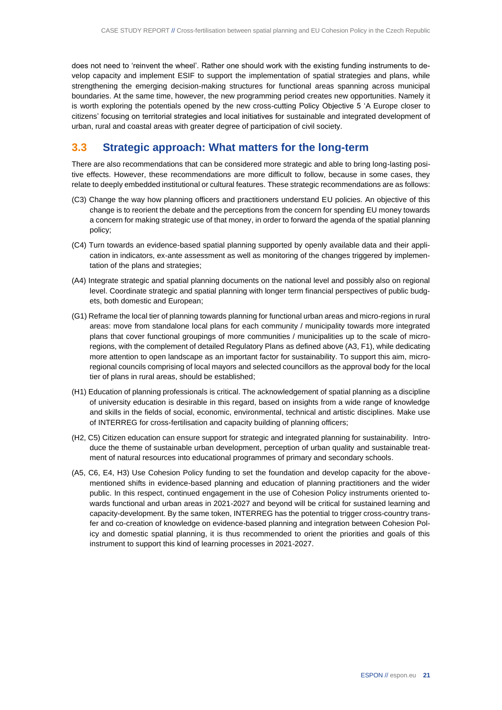does not need to 'reinvent the wheel'. Rather one should work with the existing funding instruments to develop capacity and implement ESIF to support the implementation of spatial strategies and plans, while strengthening the emerging decision-making structures for functional areas spanning across municipal boundaries. At the same time, however, the new programming period creates new opportunities. Namely it is worth exploring the potentials opened by the new cross-cutting Policy Objective 5 'A Europe closer to citizens' focusing on territorial strategies and local initiatives for sustainable and integrated development of urban, rural and coastal areas with greater degree of participation of civil society.

### <span id="page-20-0"></span>**3.3 Strategic approach: What matters for the long-term**

There are also recommendations that can be considered more strategic and able to bring long-lasting positive effects. However, these recommendations are more difficult to follow, because in some cases, they relate to deeply embedded institutional or cultural features. These strategic recommendations are as follows:

- (C3) Change the way how planning officers and practitioners understand EU policies. An objective of this change is to reorient the debate and the perceptions from the concern for spending EU money towards a concern for making strategic use of that money, in order to forward the agenda of the spatial planning policy;
- (C4) Turn towards an evidence-based spatial planning supported by openly available data and their application in indicators, ex-ante assessment as well as monitoring of the changes triggered by implementation of the plans and strategies;
- (A4) Integrate strategic and spatial planning documents on the national level and possibly also on regional level. Coordinate strategic and spatial planning with longer term financial perspectives of public budgets, both domestic and European;
- (G1) Reframe the local tier of planning towards planning for functional urban areas and micro-regions in rural areas: move from standalone local plans for each community / municipality towards more integrated plans that cover functional groupings of more communities / municipalities up to the scale of microregions, with the complement of detailed Regulatory Plans as defined above (A3, F1), while dedicating more attention to open landscape as an important factor for sustainability. To support this aim, microregional councils comprising of local mayors and selected councillors as the approval body for the local tier of plans in rural areas, should be established;
- (H1) Education of planning professionals is critical. The acknowledgement of spatial planning as a discipline of university education is desirable in this regard, based on insights from a wide range of knowledge and skills in the fields of social, economic, environmental, technical and artistic disciplines. Make use of INTERREG for cross-fertilisation and capacity building of planning officers;
- (H2, C5) Citizen education can ensure support for strategic and integrated planning for sustainability. Introduce the theme of sustainable urban development, perception of urban quality and sustainable treatment of natural resources into educational programmes of primary and secondary schools.
- (A5, C6, E4, H3) Use Cohesion Policy funding to set the foundation and develop capacity for the abovementioned shifts in evidence-based planning and education of planning practitioners and the wider public. In this respect, continued engagement in the use of Cohesion Policy instruments oriented towards functional and urban areas in 2021-2027 and beyond will be critical for sustained learning and capacity-development. By the same token, INTERREG has the potential to trigger cross-country transfer and co-creation of knowledge on evidence-based planning and integration between Cohesion Policy and domestic spatial planning, it is thus recommended to orient the priorities and goals of this instrument to support this kind of learning processes in 2021-2027.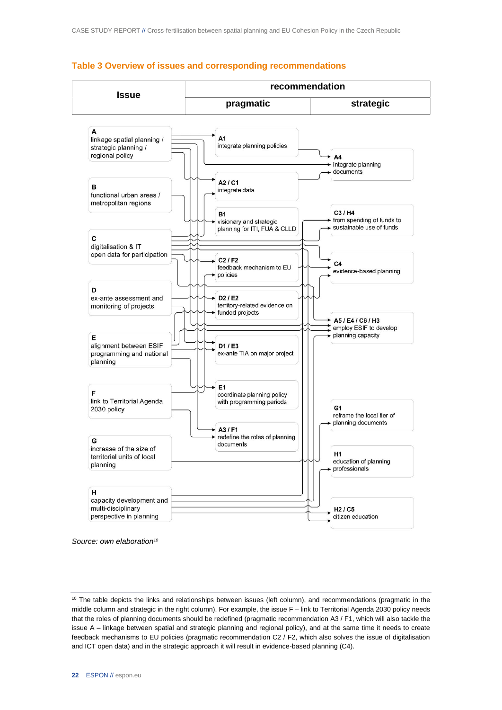

#### <span id="page-21-0"></span>**Table 3 Overview of issues and corresponding recommendations**

*Source: own elaboration<sup>10</sup>*

<sup>&</sup>lt;sup>10</sup> The table depicts the links and relationships between issues (left column), and recommendations (pragmatic in the middle column and strategic in the right column). For example, the issue F – link to Territorial Agenda 2030 policy needs that the roles of planning documents should be redefined (pragmatic recommendation A3 / F1, which will also tackle the issue A – linkage between spatial and strategic planning and regional policy), and at the same time it needs to create feedback mechanisms to EU policies (pragmatic recommendation C2 / F2, which also solves the issue of digitalisation and ICT open data) and in the strategic approach it will result in evidence-based planning (C4).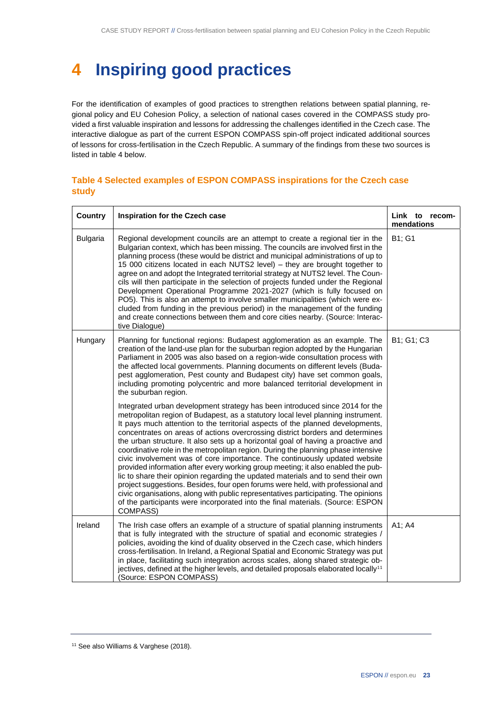# <span id="page-22-0"></span>**4 Inspiring good practices**

For the identification of examples of good practices to strengthen relations between spatial planning, regional policy and EU Cohesion Policy, a selection of national cases covered in the COMPASS study provided a first valuable inspiration and lessons for addressing the challenges identified in the Czech case. The interactive dialogue as part of the current ESPON COMPASS spin-off project indicated additional sources of lessons for cross-fertilisation in the Czech Republic. A summary of the findings from these two sources is listed in table 4 below.

### <span id="page-22-1"></span>**Table 4 Selected examples of ESPON COMPASS inspirations for the Czech case study**

| <b>Country</b>  | Inspiration for the Czech case                                                                                                                                                                                                                                                                                                                                                                                                                                                                                                                                                                                                                                                                                                                                                                                                                                                                                                                                                                                                            | Link to recom-<br>mendations |
|-----------------|-------------------------------------------------------------------------------------------------------------------------------------------------------------------------------------------------------------------------------------------------------------------------------------------------------------------------------------------------------------------------------------------------------------------------------------------------------------------------------------------------------------------------------------------------------------------------------------------------------------------------------------------------------------------------------------------------------------------------------------------------------------------------------------------------------------------------------------------------------------------------------------------------------------------------------------------------------------------------------------------------------------------------------------------|------------------------------|
| <b>Bulgaria</b> | Regional development councils are an attempt to create a regional tier in the<br>Bulgarian context, which has been missing. The councils are involved first in the<br>planning process (these would be district and municipal administrations of up to<br>15 000 citizens located in each NUTS2 level) - they are brought together to<br>agree on and adopt the Integrated territorial strategy at NUTS2 level. The Coun-<br>cils will then participate in the selection of projects funded under the Regional<br>Development Operational Programme 2021-2027 (which is fully focused on<br>PO5). This is also an attempt to involve smaller municipalities (which were ex-<br>cluded from funding in the previous period) in the management of the funding<br>and create connections between them and core cities nearby. (Source: Interac-<br>tive Dialogue)                                                                                                                                                                            | B1; G1                       |
| Hungary         | Planning for functional regions: Budapest agglomeration as an example. The<br>creation of the land-use plan for the suburban region adopted by the Hungarian<br>Parliament in 2005 was also based on a region-wide consultation process with<br>the affected local governments. Planning documents on different levels (Buda-<br>pest agglomeration, Pest county and Budapest city) have set common goals,<br>including promoting polycentric and more balanced territorial development in<br>the suburban region.                                                                                                                                                                                                                                                                                                                                                                                                                                                                                                                        | B1; G1; C3                   |
|                 | Integrated urban development strategy has been introduced since 2014 for the<br>metropolitan region of Budapest, as a statutory local level planning instrument.<br>It pays much attention to the territorial aspects of the planned developments,<br>concentrates on areas of actions overcrossing district borders and determines<br>the urban structure. It also sets up a horizontal goal of having a proactive and<br>coordinative role in the metropolitan region. During the planning phase intensive<br>civic involvement was of core importance. The continuously updated website<br>provided information after every working group meeting; it also enabled the pub-<br>lic to share their opinion regarding the updated materials and to send their own<br>project suggestions. Besides, four open forums were held, with professional and<br>civic organisations, along with public representatives participating. The opinions<br>of the participants were incorporated into the final materials. (Source: ESPON<br>COMPASS) |                              |
| Ireland         | The Irish case offers an example of a structure of spatial planning instruments<br>that is fully integrated with the structure of spatial and economic strategies /<br>policies, avoiding the kind of duality observed in the Czech case, which hinders<br>cross-fertilisation. In Ireland, a Regional Spatial and Economic Strategy was put<br>in place, facilitating such integration across scales, along shared strategic ob-<br>jectives, defined at the higher levels, and detailed proposals elaborated locally <sup>11</sup><br>(Source: ESPON COMPASS)                                                                                                                                                                                                                                                                                                                                                                                                                                                                           | A1; A4                       |

<sup>&</sup>lt;sup>11</sup> See also Williams & Varghese (2018).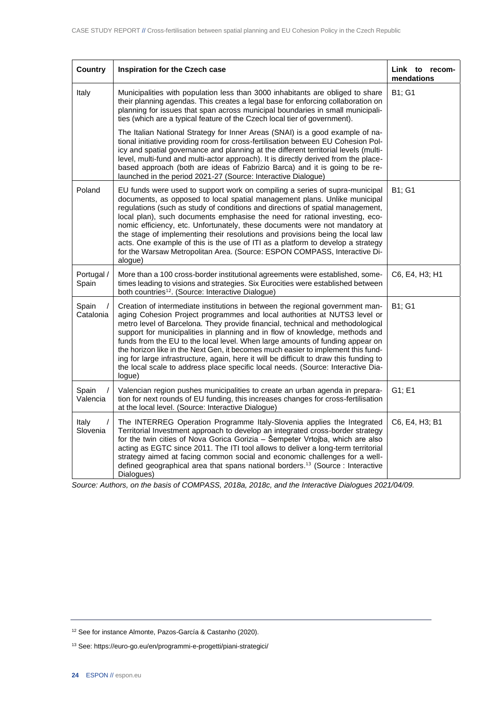| <b>Country</b>      | <b>Inspiration for the Czech case</b>                                                                                                                                                                                                                                                                                                                                                                                                                                                                                                                                                                                                                                                     | Link to recom-<br>mendations |
|---------------------|-------------------------------------------------------------------------------------------------------------------------------------------------------------------------------------------------------------------------------------------------------------------------------------------------------------------------------------------------------------------------------------------------------------------------------------------------------------------------------------------------------------------------------------------------------------------------------------------------------------------------------------------------------------------------------------------|------------------------------|
| Italy               | Municipalities with population less than 3000 inhabitants are obliged to share<br>their planning agendas. This creates a legal base for enforcing collaboration on<br>planning for issues that span across municipal boundaries in small municipali-<br>ties (which are a typical feature of the Czech local tier of government).                                                                                                                                                                                                                                                                                                                                                         | B1; G1                       |
|                     | The Italian National Strategy for Inner Areas (SNAI) is a good example of na-<br>tional initiative providing room for cross-fertilisation between EU Cohesion Pol-<br>icy and spatial governance and planning at the different territorial levels (multi-<br>level, multi-fund and multi-actor approach). It is directly derived from the place-<br>based approach (both are ideas of Fabrizio Barca) and it is going to be re-<br>launched in the period 2021-27 (Source: Interactive Dialogue)                                                                                                                                                                                          |                              |
| Poland              | EU funds were used to support work on compiling a series of supra-municipal<br>documents, as opposed to local spatial management plans. Unlike municipal<br>regulations (such as study of conditions and directions of spatial management,<br>local plan), such documents emphasise the need for rational investing, eco-<br>nomic efficiency, etc. Unfortunately, these documents were not mandatory at<br>the stage of implementing their resolutions and provisions being the local law<br>acts. One example of this is the use of ITI as a platform to develop a strategy<br>for the Warsaw Metropolitan Area. (Source: ESPON COMPASS, Interactive Di-<br>alogue)                     | B1; G1                       |
| Portugal /<br>Spain | More than a 100 cross-border institutional agreements were established, some-<br>times leading to visions and strategies. Six Eurocities were established between<br>both countries <sup>12</sup> . (Source: Interactive Dialogue)                                                                                                                                                                                                                                                                                                                                                                                                                                                        | C6, E4, H3; H1               |
| Spain<br>Catalonia  | Creation of intermediate institutions in between the regional government man-<br>aging Cohesion Project programmes and local authorities at NUTS3 level or<br>metro level of Barcelona. They provide financial, technical and methodological<br>support for municipalities in planning and in flow of knowledge, methods and<br>funds from the EU to the local level. When large amounts of funding appear on<br>the horizon like in the Next Gen, it becomes much easier to implement this fund-<br>ing for large infrastructure, again, here it will be difficult to draw this funding to<br>the local scale to address place specific local needs. (Source: Interactive Dia-<br>logue) | B1; G1                       |
| Spain<br>Valencia   | Valencian region pushes municipalities to create an urban agenda in prepara-<br>tion for next rounds of EU funding, this increases changes for cross-fertilisation<br>at the local level. (Source: Interactive Dialogue)                                                                                                                                                                                                                                                                                                                                                                                                                                                                  | G1; E1                       |
| Italy<br>Slovenia   | The INTERREG Operation Programme Italy-Slovenia applies the Integrated<br>Territorial Investment approach to develop an integrated cross-border strategy<br>for the twin cities of Nova Gorica Gorizia - Šempeter Vrtojba, which are also<br>acting as EGTC since 2011. The ITI tool allows to deliver a long-term territorial<br>strategy aimed at facing common social and economic challenges for a well-<br>defined geographical area that spans national borders. <sup>13</sup> (Source : Interactive<br>Dialogues)                                                                                                                                                                  | C6, E4, H3; B1               |

*Source: Authors, on the basis of COMPASS, 2018a, 2018c, and the Interactive Dialogues 2021/04/09.*

<sup>13</sup> See[: https://euro-go.eu/en/programmi-e-progetti/piani-strategici/](https://euro-go.eu/en/programmi-e-progetti/piani-strategici/)

<sup>12</sup> See for instance Almonte, Pazos-García & Castanho (2020).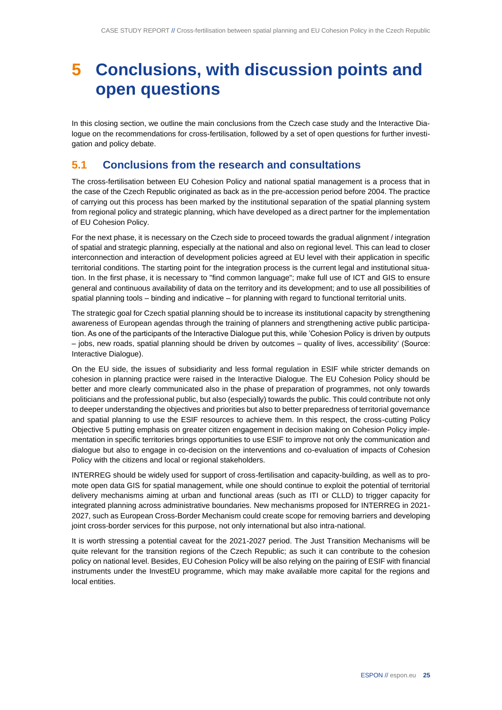## <span id="page-24-0"></span>**5 Conclusions, with discussion points and open questions**

In this closing section, we outline the main conclusions from the Czech case study and the Interactive Dialogue on the recommendations for cross-fertilisation, followed by a set of open questions for further investigation and policy debate.

### <span id="page-24-1"></span>**5.1 Conclusions from the research and consultations**

The cross-fertilisation between EU Cohesion Policy and national spatial management is a process that in the case of the Czech Republic originated as back as in the pre-accession period before 2004. The practice of carrying out this process has been marked by the institutional separation of the spatial planning system from regional policy and strategic planning, which have developed as a direct partner for the implementation of EU Cohesion Policy.

For the next phase, it is necessary on the Czech side to proceed towards the gradual alignment / integration of spatial and strategic planning, especially at the national and also on regional level. This can lead to closer interconnection and interaction of development policies agreed at EU level with their application in specific territorial conditions. The starting point for the integration process is the current legal and institutional situation. In the first phase, it is necessary to "find common language"; make full use of ICT and GIS to ensure general and continuous availability of data on the territory and its development; and to use all possibilities of spatial planning tools – binding and indicative – for planning with regard to functional territorial units.

The strategic goal for Czech spatial planning should be to increase its institutional capacity by strengthening awareness of European agendas through the training of planners and strengthening active public participation. As one of the participants of the Interactive Dialogue put this, while 'Cohesion Policy is driven by outputs – jobs, new roads, spatial planning should be driven by outcomes – quality of lives, accessibility' (Source: Interactive Dialogue).

On the EU side, the issues of subsidiarity and less formal regulation in ESIF while stricter demands on cohesion in planning practice were raised in the Interactive Dialogue. The EU Cohesion Policy should be better and more clearly communicated also in the phase of preparation of programmes, not only towards politicians and the professional public, but also (especially) towards the public. This could contribute not only to deeper understanding the objectives and priorities but also to better preparedness of territorial governance and spatial planning to use the ESIF resources to achieve them. In this respect, the cross-cutting Policy Objective 5 putting emphasis on greater citizen engagement in decision making on Cohesion Policy implementation in specific territories brings opportunities to use ESIF to improve not only the communication and dialogue but also to engage in co-decision on the interventions and co-evaluation of impacts of Cohesion Policy with the citizens and local or regional stakeholders.

INTERREG should be widely used for support of cross-fertilisation and capacity-building, as well as to promote open data GIS for spatial management, while one should continue to exploit the potential of territorial delivery mechanisms aiming at urban and functional areas (such as ITI or CLLD) to trigger capacity for integrated planning across administrative boundaries. New mechanisms proposed for INTERREG in 2021- 2027, such as European Cross-Border Mechanism could create scope for removing barriers and developing joint cross-border services for this purpose, not only international but also intra-national.

It is worth stressing a potential caveat for the 2021-2027 period. The Just Transition Mechanisms will be quite relevant for the transition regions of the Czech Republic; as such it can contribute to the cohesion policy on national level. Besides, EU Cohesion Policy will be also relying on the pairing of ESIF with financial instruments under the InvestEU programme, which may make available more capital for the regions and local entities.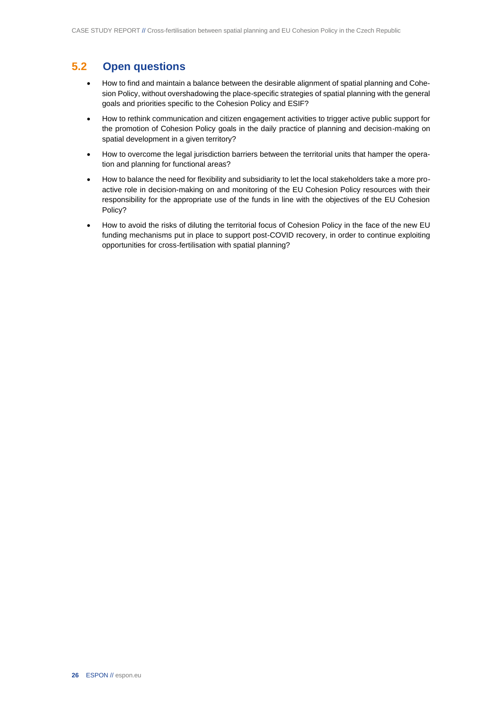## <span id="page-25-0"></span>**5.2 Open questions**

- How to find and maintain a balance between the desirable alignment of spatial planning and Cohesion Policy, without overshadowing the place-specific strategies of spatial planning with the general goals and priorities specific to the Cohesion Policy and ESIF?
- How to rethink communication and citizen engagement activities to trigger active public support for the promotion of Cohesion Policy goals in the daily practice of planning and decision-making on spatial development in a given territory?
- How to overcome the legal jurisdiction barriers between the territorial units that hamper the operation and planning for functional areas?
- How to balance the need for flexibility and subsidiarity to let the local stakeholders take a more proactive role in decision-making on and monitoring of the EU Cohesion Policy resources with their responsibility for the appropriate use of the funds in line with the objectives of the EU Cohesion Policy?
- How to avoid the risks of diluting the territorial focus of Cohesion Policy in the face of the new EU funding mechanisms put in place to support post-COVID recovery, in order to continue exploiting opportunities for cross-fertilisation with spatial planning?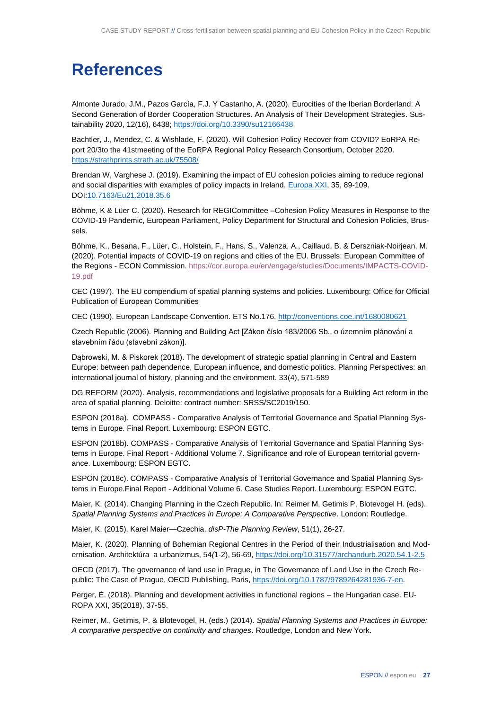# <span id="page-26-0"></span>**References**

Almonte Jurado, J.M., Pazos García, F.J. Y Castanho, A. (2020). Eurocities of the Iberian Borderland: A Second Generation of Border Cooperation Structures. An Analysis of Their Development Strategies. Sustainability 2020, 12(16), 6438;<https://doi.org/10.3390/su12166438>

Bachtler, J., Mendez, C. & Wishlade, F. (2020). Will Cohesion Policy Recover from COVID? EoRPA Report 20/3to the 41stmeeting of the EoRPA Regional Policy Research Consortium, October 2020. <https://strathprints.strath.ac.uk/75508/>

Brendan W, Varghese J. (2019). Examining the impact of EU cohesion policies aiming to reduce regional and social disparities with examples of policy impacts in Ireland[. Europa XXI,](https://www.researchgate.net/journal/Europa-XXI-1429-7132) 35, 89-109. DO[I:10.7163/Eu21.2018.35.6](http://dx.doi.org/10.7163/Eu21.2018.35.6)

Böhme, K & Lüer C. (2020). Research for REGICommittee –Cohesion Policy Measures in Response to the COVID-19 Pandemic, European Parliament, Policy Department for Structural and Cohesion Policies, Brussels.

Böhme, K., Besana, F., Lüer, C., Holstein, F., Hans, S., Valenza, A., Caillaud, B. & Derszniak-Noirjean, M. (2020). Potential impacts of COVID-19 on regions and cities of the EU. Brussels: European Committee of the Regions - ECON Commission. [https://cor.europa.eu/en/engage/studies/Documents/IMPACTS-COVID-](https://cor.europa.eu/en/engage/studies/Documents/IMPACTS-COVID-19.pdf)[19.pdf](https://cor.europa.eu/en/engage/studies/Documents/IMPACTS-COVID-19.pdf)

CEC (1997). The EU compendium of spatial planning systems and policies. Luxembourg: Office for Official Publication of European Communities

CEC (1990). European Landscape Convention. ETS No.176.<http://conventions.coe.int/1680080621>

Czech Republic (2006). Planning and Building Act [Zákon číslo 183/2006 Sb., o územním plánování a stavebním řádu (stavební zákon)].

Dąbrowski, M. & Piskorek (2018). The development of strategic spatial planning in Central and Eastern Europe: between path dependence, European influence, and domestic politics. Planning Perspectives: an international journal of history, planning and the environment. 33(4), 571-589

DG REFORM (2020). Analysis, recommendations and legislative proposals for a Building Act reform in the area of spatial planning. Deloitte: contract number: SRSS/SC2019/150.

ESPON (2018a). COMPASS - Comparative Analysis of Territorial Governance and Spatial Planning Systems in Europe. Final Report. Luxembourg: ESPON EGTC.

ESPON (2018b). COMPASS - Comparative Analysis of Territorial Governance and Spatial Planning Systems in Europe. Final Report - Additional Volume 7. Significance and role of European territorial governance. Luxembourg: ESPON EGTC.

ESPON (2018c). COMPASS - Comparative Analysis of Territorial Governance and Spatial Planning Systems in Europe.Final Report - Additional Volume 6. Case Studies Report. Luxembourg: ESPON EGTC.

Maier, K. (2014). Changing Planning in the Czech Republic. In: Reimer M, Getimis P, Blotevogel H. (eds). *Spatial Planning Systems and Practices in Europe: A Comparative Perspective*. London: Routledge.

Maier, K. (2015). Karel Maier—Czechia. *disP-The Planning Review*, 51(1), 26-27.

Maier, K. (2020). Planning of Bohemian Regional Centres in the Period of their Industrialisation and Modernisation. Architektúra a urbanizmus, 54*(*1-2), 56-69,<https://doi.org/10.31577/archandurb.2020.54.1-2.5>

OECD (2017). The governance of land use in Prague, in The Governance of Land Use in the Czech Republic: The Case of Prague, OECD Publishing, Paris, [https://doi.org/10.1787/9789264281936-7-en.](https://doi.org/10.1787/9789264281936-7-en)

Perger, É. (2018). Planning and development activities in functional regions – the Hungarian case. EU-ROPA XXI, 35(2018), 37-55.

Reimer, M., Getimis, P. & Blotevogel, H. (eds.) (2014). *Spatial Planning Systems and Practices in Europe: A comparative perspective on continuity and changes*. Routledge, London and New York.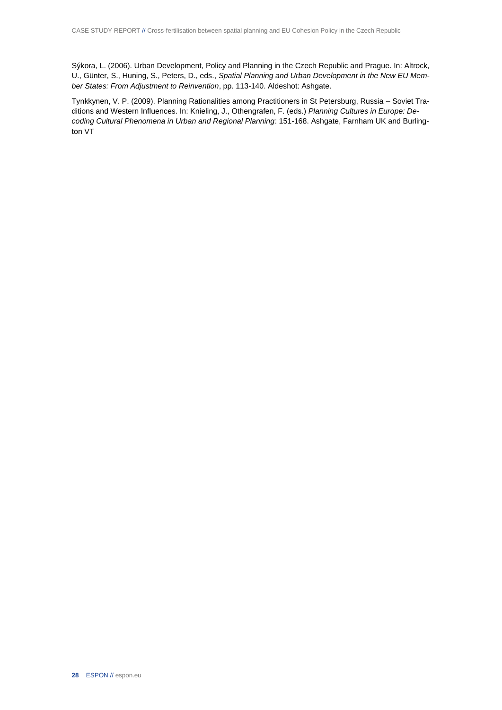Sýkora, L. (2006). Urban Development, Policy and Planning in the Czech Republic and Prague. In: Altrock, U., Günter, S., Huning, S., Peters, D., eds., *Spatial Planning and Urban Development in the New EU Member States: From Adjustment to Reinvention*, pp. 113-140. Aldeshot: Ashgate.

Tynkkynen, V. P. (2009). Planning Rationalities among Practitioners in St Petersburg, Russia – Soviet Traditions and Western Influences. In: Knieling, J., Othengrafen, F. (eds.) *Planning Cultures in Europe: Decoding Cultural Phenomena in Urban and Regional Planning*: 151-168. Ashgate, Farnham UK and Burlington VT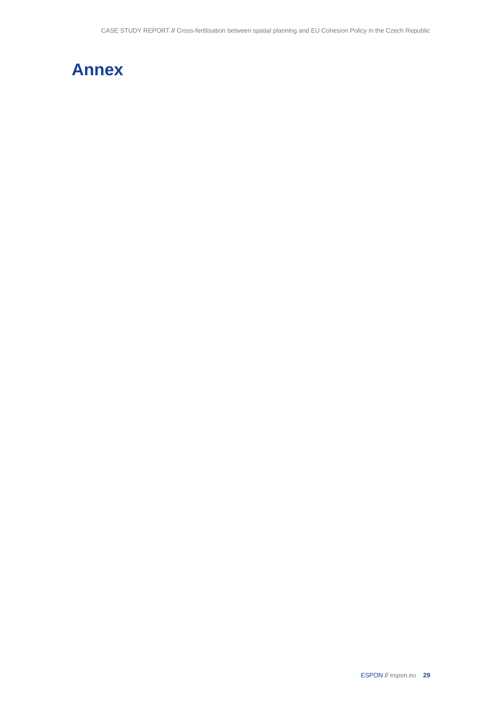<span id="page-28-0"></span>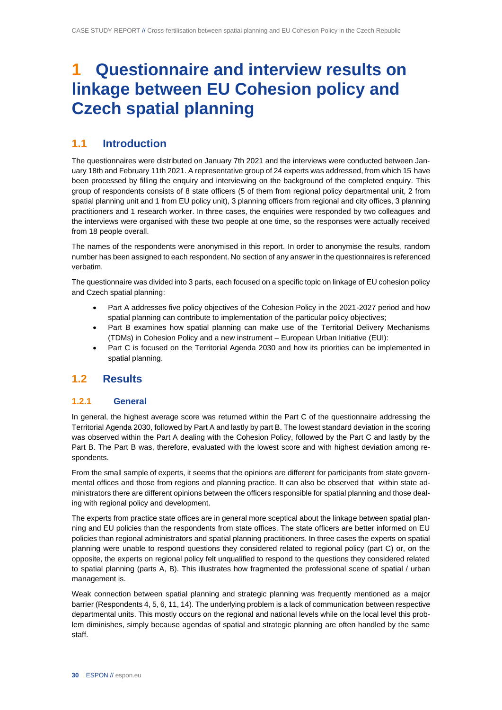## **1 Questionnaire and interview results on linkage between EU Cohesion policy and Czech spatial planning**

## **1.1 Introduction**

The questionnaires were distributed on January 7th 2021 and the interviews were conducted between January 18th and February 11th 2021. A representative group of 24 experts was addressed, from which 15 have been processed by filling the enquiry and interviewing on the background of the completed enquiry. This group of respondents consists of 8 state officers (5 of them from regional policy departmental unit, 2 from spatial planning unit and 1 from EU policy unit), 3 planning officers from regional and city offices, 3 planning practitioners and 1 research worker. In three cases, the enquiries were responded by two colleagues and the interviews were organised with these two people at one time, so the responses were actually received from 18 people overall.

The names of the respondents were anonymised in this report. In order to anonymise the results, random number has been assigned to each respondent. No section of any answer in the questionnaires is referenced verbatim.

The questionnaire was divided into 3 parts, each focused on a specific topic on linkage of EU cohesion policy and Czech spatial planning:

- Part A addresses five policy objectives of the Cohesion Policy in the 2021-2027 period and how spatial planning can contribute to implementation of the particular policy objectives;
- Part B examines how spatial planning can make use of the Territorial Delivery Mechanisms (TDMs) in Cohesion Policy and a new instrument – European Urban Initiative (EUI):
- Part C is focused on the Territorial Agenda 2030 and how its priorities can be implemented in spatial planning.

### **1.2 Results**

#### **1.2.1 General**

In general, the highest average score was returned within the Part C of the questionnaire addressing the Territorial Agenda 2030, followed by Part A and lastly by part B. The lowest standard deviation in the scoring was observed within the Part A dealing with the Cohesion Policy, followed by the Part C and lastly by the Part B. The Part B was, therefore, evaluated with the lowest score and with highest deviation among respondents.

From the small sample of experts, it seems that the opinions are different for participants from state governmental offices and those from regions and planning practice. It can also be observed that within state administrators there are different opinions between the officers responsible for spatial planning and those dealing with regional policy and development.

The experts from practice state offices are in general more sceptical about the linkage between spatial planning and EU policies than the respondents from state offices. The state officers are better informed on EU policies than regional administrators and spatial planning practitioners. In three cases the experts on spatial planning were unable to respond questions they considered related to regional policy (part C) or, on the opposite, the experts on regional policy felt unqualified to respond to the questions they considered related to spatial planning (parts A, B). This illustrates how fragmented the professional scene of spatial / urban management is.

Weak connection between spatial planning and strategic planning was frequently mentioned as a major barrier (Respondents 4, 5, 6, 11, 14). The underlying problem is a lack of communication between respective departmental units. This mostly occurs on the regional and national levels while on the local level this problem diminishes, simply because agendas of spatial and strategic planning are often handled by the same staff.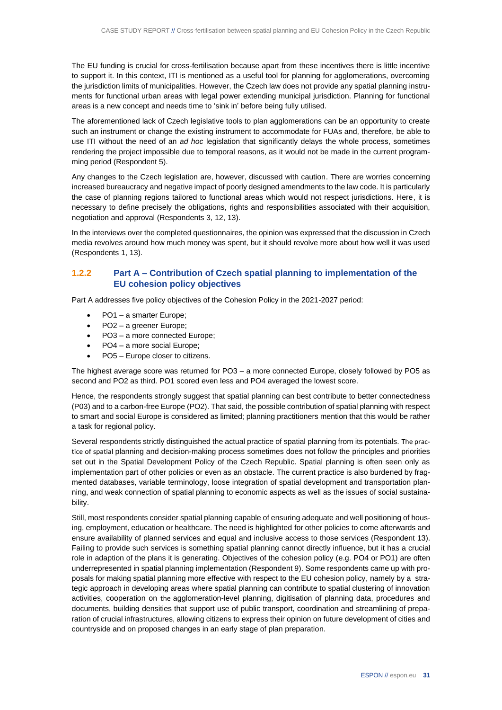The EU funding is crucial for cross-fertilisation because apart from these incentives there is little incentive to support it. In this context, ITI is mentioned as a useful tool for planning for agglomerations, overcoming the jurisdiction limits of municipalities. However, the Czech law does not provide any spatial planning instruments for functional urban areas with legal power extending municipal jurisdiction. Planning for functional areas is a new concept and needs time to 'sink in' before being fully utilised.

The aforementioned lack of Czech legislative tools to plan agglomerations can be an opportunity to create such an instrument or change the existing instrument to accommodate for FUAs and, therefore, be able to use ITI without the need of an *ad hoc* legislation that significantly delays the whole process, sometimes rendering the project impossible due to temporal reasons, as it would not be made in the current programming period (Respondent 5).

Any changes to the Czech legislation are, however, discussed with caution. There are worries concerning increased bureaucracy and negative impact of poorly designed amendments to the law code. It is particularly the case of planning regions tailored to functional areas which would not respect jurisdictions. Here, it is necessary to define precisely the obligations, rights and responsibilities associated with their acquisition, negotiation and approval (Respondents 3, 12, 13).

In the interviews over the completed questionnaires, the opinion was expressed that the discussion in Czech media revolves around how much money was spent, but it should revolve more about how well it was used (Respondents 1, 13).

#### **1.2.2 Part A – Contribution of Czech spatial planning to implementation of the EU cohesion policy objectives**

Part A addresses five policy objectives of the Cohesion Policy in the 2021-2027 period:

- PO1 a smarter Europe;
- PO2 a greener Europe;
- PO3 a more connected Europe;
- PO4 a more social Europe;
- PO5 Europe closer to citizens.

The highest average score was returned for PO3 – a more connected Europe, closely followed by PO5 as second and PO2 as third. PO1 scored even less and PO4 averaged the lowest score.

Hence, the respondents strongly suggest that spatial planning can best contribute to better connectedness (P03) and to a carbon-free Europe (PO2). That said, the possible contribution of spatial planning with respect to smart and social Europe is considered as limited; planning practitioners mention that this would be rather a task for regional policy.

Several respondents strictly distinguished the actual practice of spatial planning from its potentials. The practice of spatial planning and decision-making process sometimes does not follow the principles and priorities set out in the Spatial Development Policy of the Czech Republic. Spatial planning is often seen only as implementation part of other policies or even as an obstacle. The current practice is also burdened by fragmented databases, variable terminology, loose integration of spatial development and transportation planning, and weak connection of spatial planning to economic aspects as well as the issues of social sustainability.

Still, most respondents consider spatial planning capable of ensuring adequate and well positioning of housing, employment, education or healthcare. The need is highlighted for other policies to come afterwards and ensure availability of planned services and equal and inclusive access to those services (Respondent 13). Failing to provide such services is something spatial planning cannot directly influence, but it has a crucial role in adaption of the plans it is generating. Objectives of the cohesion policy (e.g. PO4 or PO1) are often underrepresented in spatial planning implementation (Respondent 9). Some respondents came up with proposals for making spatial planning more effective with respect to the EU cohesion policy, namely by a strategic approach in developing areas where spatial planning can contribute to spatial clustering of innovation activities, cooperation on the agglomeration-level planning, digitisation of planning data, procedures and documents, building densities that support use of public transport, coordination and streamlining of preparation of crucial infrastructures, allowing citizens to express their opinion on future development of cities and countryside and on proposed changes in an early stage of plan preparation.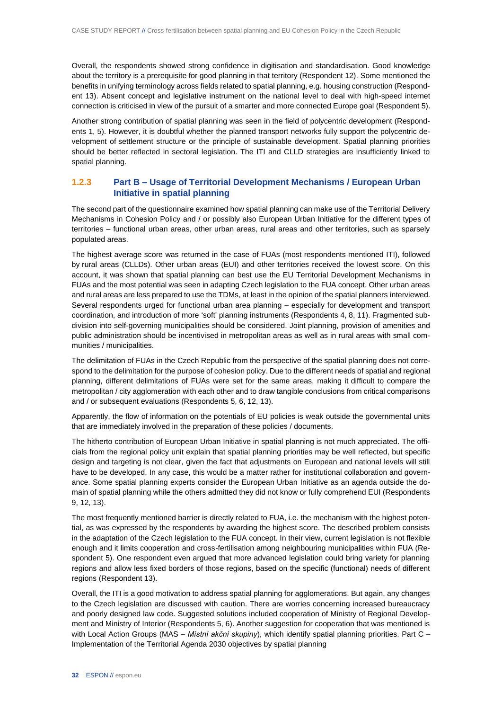Overall, the respondents showed strong confidence in digitisation and standardisation. Good knowledge about the territory is a prerequisite for good planning in that territory (Respondent 12). Some mentioned the benefits in unifying terminology across fields related to spatial planning, e.g. housing construction (Respondent 13). Absent concept and legislative instrument on the national level to deal with high-speed internet connection is criticised in view of the pursuit of a smarter and more connected Europe goal (Respondent 5).

Another strong contribution of spatial planning was seen in the field of polycentric development (Respondents 1, 5). However, it is doubtful whether the planned transport networks fully support the polycentric development of settlement structure or the principle of sustainable development. Spatial planning priorities should be better reflected in sectoral legislation. The ITI and CLLD strategies are insufficiently linked to spatial planning.

#### **1.2.3 Part B – Usage of Territorial Development Mechanisms / European Urban Initiative in spatial planning**

The second part of the questionnaire examined how spatial planning can make use of the Territorial Delivery Mechanisms in Cohesion Policy and / or possibly also European Urban Initiative for the different types of territories – functional urban areas, other urban areas, rural areas and other territories, such as sparsely populated areas.

The highest average score was returned in the case of FUAs (most respondents mentioned ITI), followed by rural areas (CLLDs). Other urban areas (EUI) and other territories received the lowest score. On this account, it was shown that spatial planning can best use the EU Territorial Development Mechanisms in FUAs and the most potential was seen in adapting Czech legislation to the FUA concept. Other urban areas and rural areas are less prepared to use the TDMs, at least in the opinion of the spatial planners interviewed. Several respondents urged for functional urban area planning – especially for development and transport coordination, and introduction of more 'soft' planning instruments (Respondents 4, 8, 11). Fragmented subdivision into self-governing municipalities should be considered. Joint planning, provision of amenities and public administration should be incentivised in metropolitan areas as well as in rural areas with small communities / municipalities.

The delimitation of FUAs in the Czech Republic from the perspective of the spatial planning does not correspond to the delimitation for the purpose of cohesion policy. Due to the different needs of spatial and regional planning, different delimitations of FUAs were set for the same areas, making it difficult to compare the metropolitan / city agglomeration with each other and to draw tangible conclusions from critical comparisons and / or subsequent evaluations (Respondents 5, 6, 12, 13).

Apparently, the flow of information on the potentials of EU policies is weak outside the governmental units that are immediately involved in the preparation of these policies / documents.

The hitherto contribution of European Urban Initiative in spatial planning is not much appreciated. The officials from the regional policy unit explain that spatial planning priorities may be well reflected, but specific design and targeting is not clear, given the fact that adjustments on European and national levels will still have to be developed. In any case, this would be a matter rather for institutional collaboration and governance. Some spatial planning experts consider the European Urban Initiative as an agenda outside the domain of spatial planning while the others admitted they did not know or fully comprehend EUI (Respondents 9, 12, 13).

The most frequently mentioned barrier is directly related to FUA, i.e. the mechanism with the highest potential, as was expressed by the respondents by awarding the highest score. The described problem consists in the adaptation of the Czech legislation to the FUA concept. In their view, current legislation is not flexible enough and it limits cooperation and cross-fertilisation among neighbouring municipalities within FUA (Respondent 5). One respondent even argued that more advanced legislation could bring variety for planning regions and allow less fixed borders of those regions, based on the specific (functional) needs of different regions (Respondent 13).

Overall, the ITI is a good motivation to address spatial planning for agglomerations. But again, any changes to the Czech legislation are discussed with caution. There are worries concerning increased bureaucracy and poorly designed law code. Suggested solutions included cooperation of Ministry of Regional Development and Ministry of Interior (Respondents 5, 6). Another suggestion for cooperation that was mentioned is with Local Action Groups (MAS – *Místní akční skupiny*), which identify spatial planning priorities. Part C – Implementation of the Territorial Agenda 2030 objectives by spatial planning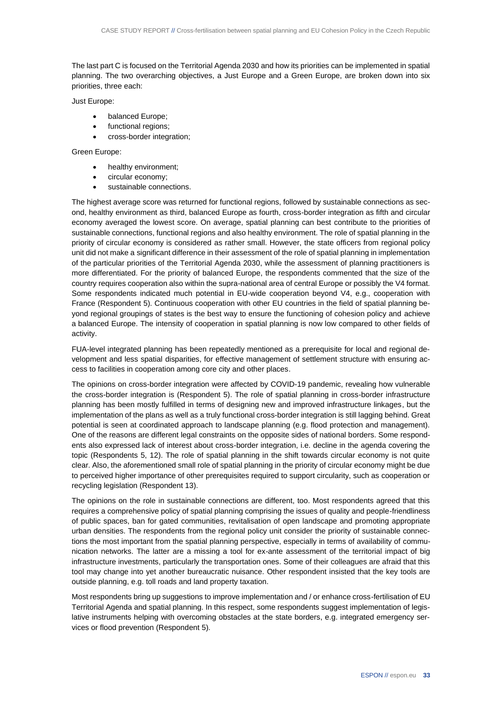The last part C is focused on the Territorial Agenda 2030 and how its priorities can be implemented in spatial planning. The two overarching objectives, a Just Europe and a Green Europe, are broken down into six priorities, three each:

Just Europe:

- balanced Europe;
- functional regions;
- cross-border integration;

#### Green Europe:

- healthy environment;
- circular economy;
- sustainable connections.

The highest average score was returned for functional regions, followed by sustainable connections as second, healthy environment as third, balanced Europe as fourth, cross-border integration as fifth and circular economy averaged the lowest score. On average, spatial planning can best contribute to the priorities of sustainable connections, functional regions and also healthy environment. The role of spatial planning in the priority of circular economy is considered as rather small. However, the state officers from regional policy unit did not make a significant difference in their assessment of the role of spatial planning in implementation of the particular priorities of the Territorial Agenda 2030, while the assessment of planning practitioners is more differentiated. For the priority of balanced Europe, the respondents commented that the size of the country requires cooperation also within the supra-national area of central Europe or possibly the V4 format. Some respondents indicated much potential in EU-wide cooperation beyond V4, e.g., cooperation with France (Respondent 5). Continuous cooperation with other EU countries in the field of spatial planning beyond regional groupings of states is the best way to ensure the functioning of cohesion policy and achieve a balanced Europe. The intensity of cooperation in spatial planning is now low compared to other fields of activity.

FUA-level integrated planning has been repeatedly mentioned as a prerequisite for local and regional development and less spatial disparities, for effective management of settlement structure with ensuring access to facilities in cooperation among core city and other places.

The opinions on cross-border integration were affected by COVID-19 pandemic, revealing how vulnerable the cross-border integration is (Respondent 5). The role of spatial planning in cross-border infrastructure planning has been mostly fulfilled in terms of designing new and improved infrastructure linkages, but the implementation of the plans as well as a truly functional cross-border integration is still lagging behind. Great potential is seen at coordinated approach to landscape planning (e.g. flood protection and management). One of the reasons are different legal constraints on the opposite sides of national borders. Some respondents also expressed lack of interest about cross-border integration, i.e. decline in the agenda covering the topic (Respondents 5, 12). The role of spatial planning in the shift towards circular economy is not quite clear. Also, the aforementioned small role of spatial planning in the priority of circular economy might be due to perceived higher importance of other prerequisites required to support circularity, such as cooperation or recycling legislation (Respondent 13).

The opinions on the role in sustainable connections are different, too. Most respondents agreed that this requires a comprehensive policy of spatial planning comprising the issues of quality and people-friendliness of public spaces, ban for gated communities, revitalisation of open landscape and promoting appropriate urban densities. The respondents from the regional policy unit consider the priority of sustainable connections the most important from the spatial planning perspective, especially in terms of availability of communication networks. The latter are a missing a tool for ex-ante assessment of the territorial impact of big infrastructure investments, particularly the transportation ones. Some of their colleagues are afraid that this tool may change into yet another bureaucratic nuisance. Other respondent insisted that the key tools are outside planning, e.g. toll roads and land property taxation.

Most respondents bring up suggestions to improve implementation and / or enhance cross-fertilisation of EU Territorial Agenda and spatial planning. In this respect, some respondents suggest implementation of legislative instruments helping with overcoming obstacles at the state borders, e.g. integrated emergency services or flood prevention (Respondent 5).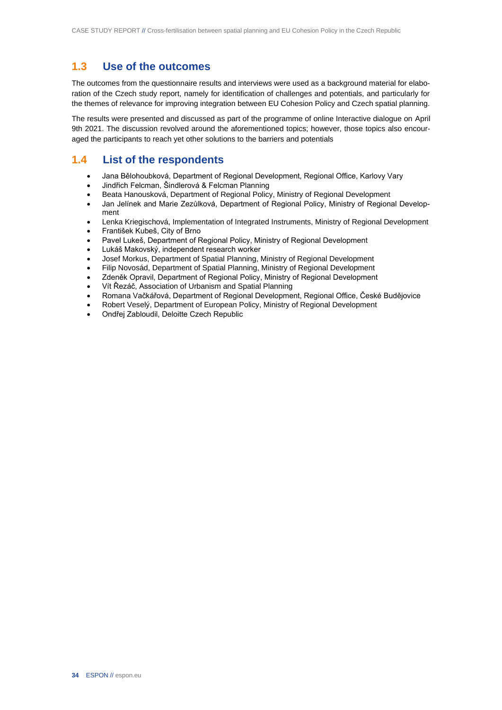### **1.3 Use of the outcomes**

The outcomes from the questionnaire results and interviews were used as a background material for elaboration of the Czech study report, namely for identification of challenges and potentials, and particularly for the themes of relevance for improving integration between EU Cohesion Policy and Czech spatial planning.

The results were presented and discussed as part of the programme of online Interactive dialogue on April 9th 2021. The discussion revolved around the aforementioned topics; however, those topics also encouraged the participants to reach yet other solutions to the barriers and potentials

### **1.4 List of the respondents**

- Jana Bělohoubková, Department of Regional Development, Regional Office, Karlovy Vary
- Jindřich Felcman, Šindlerová & Felcman Planning
- Beata Hanousková, Department of Regional Policy, Ministry of Regional Development
- Jan Jelínek and Marie Zezůlková, Department of Regional Policy, Ministry of Regional Development
- Lenka Kriegischová, Implementation of Integrated Instruments, Ministry of Regional Development
- František Kubeš, City of Brno
- Pavel Lukeš, Department of Regional Policy, Ministry of Regional Development
- Lukáš Makovský, independent research worker
- Josef Morkus, Department of Spatial Planning, Ministry of Regional Development
- Filip Novosád, Department of Spatial Planning, Ministry of Regional Development
- Zdeněk Opravil, Department of Regional Policy, Ministry of Regional Development
- Vít Řezáč, Association of Urbanism and Spatial Planning
- Romana Vačkářová, Department of Regional Development, Regional Office, České Budějovice
- Robert Veselý, Department of European Policy, Ministry of Regional Development
- Ondřej Zabloudil, Deloitte Czech Republic